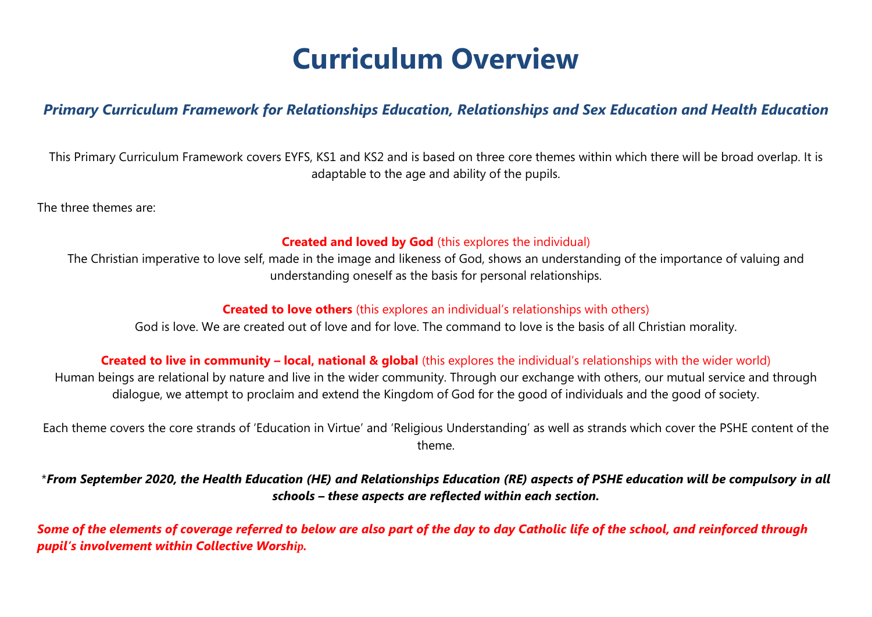# **Curriculum Overview**

#### *Primary Curriculum Framework for Relationships Education, Relationships and Sex Education and Health Education*

This Primary Curriculum Framework covers EYFS, KS1 and KS2 and is based on three core themes within which there will be broad overlap. It is adaptable to the age and ability of the pupils.

The three themes are:

#### **Created and loved by God** (this explores the individual)

The Christian imperative to love self, made in the image and likeness of God, shows an understanding of the importance of valuing and understanding oneself as the basis for personal relationships.

#### **Created to love others** (this explores an individual's relationships with others)

God is love. We are created out of love and for love. The command to love is the basis of all Christian morality.

#### **Created to live in community – local, national & global** (this explores the individual's relationships with the wider world)

Human beings are relational by nature and live in the wider community. Through our exchange with others, our mutual service and through dialogue, we attempt to proclaim and extend the Kingdom of God for the good of individuals and the good of society.

Each theme covers the core strands of 'Education in Virtue' and 'Religious Understanding' as well as strands which cover the PSHE content of the theme.

\**From September 2020, the Health Education (HE) and Relationships Education (RE) aspects of PSHE education will be compulsory in all schools – these aspects are reflected within each section.*

*Some of the elements of coverage referred to below are also part of the day to day Catholic life of the school, and reinforced through pupil's involvement within Collective Worship.*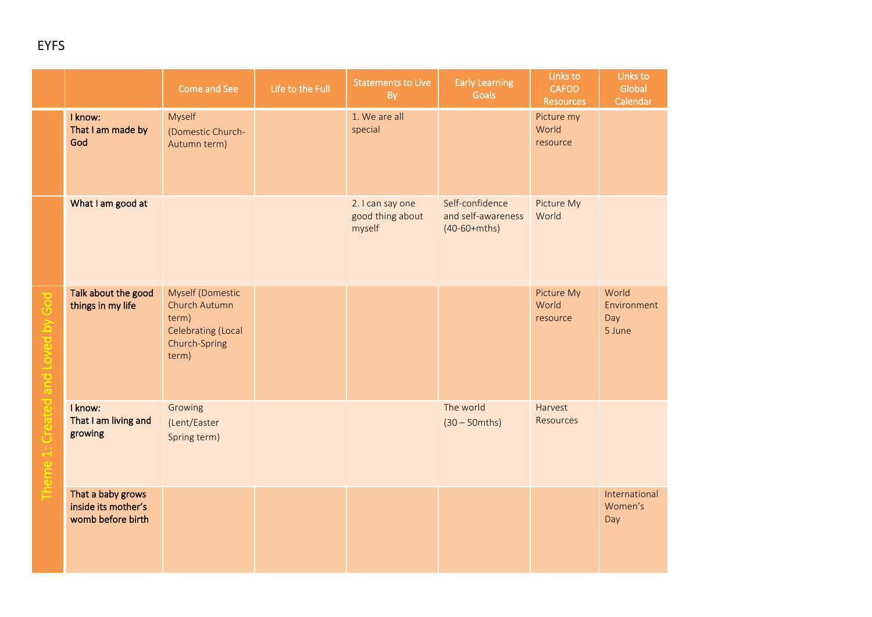|  |                                                               | Come and See                                                                                             | Life to the Full | <b>Statements to Live</b><br>By                | <b>Early Learning</b><br><b>Goals</b>                   | Links to<br><b>CAFOD</b><br><b>Resources</b> | Links to<br>Global<br>Calendar        |
|--|---------------------------------------------------------------|----------------------------------------------------------------------------------------------------------|------------------|------------------------------------------------|---------------------------------------------------------|----------------------------------------------|---------------------------------------|
|  | I know:<br>That I am made by<br>God                           | Myself<br>(Domestic Church-<br>Autumn term)                                                              |                  | 1. We are all<br>special                       |                                                         | Picture my<br>World<br>resource              |                                       |
|  | What I am good at                                             |                                                                                                          |                  | 2. I can say one<br>good thing about<br>myself | Self-confidence<br>and self-awareness<br>$(40-60+mths)$ | Picture My<br>World                          |                                       |
|  | Talk about the good<br>things in my life                      | <b>Myself (Domestic</b><br>Church Autumn<br>term)<br><b>Celebrating (Local</b><br>Church-Spring<br>term) |                  |                                                |                                                         | Picture My<br>World<br>resource              | World<br>Environment<br>Day<br>5 June |
|  | I know:<br>That I am living and<br>growing                    | Growing<br>(Lent/Easter<br>Spring term)                                                                  |                  |                                                | The world<br>$(30 - 50$ mths)                           | Harvest<br><b>Resources</b>                  |                                       |
|  | That a baby grows<br>inside its mother's<br>womb before birth |                                                                                                          |                  |                                                |                                                         |                                              | International<br>Women's<br>Day       |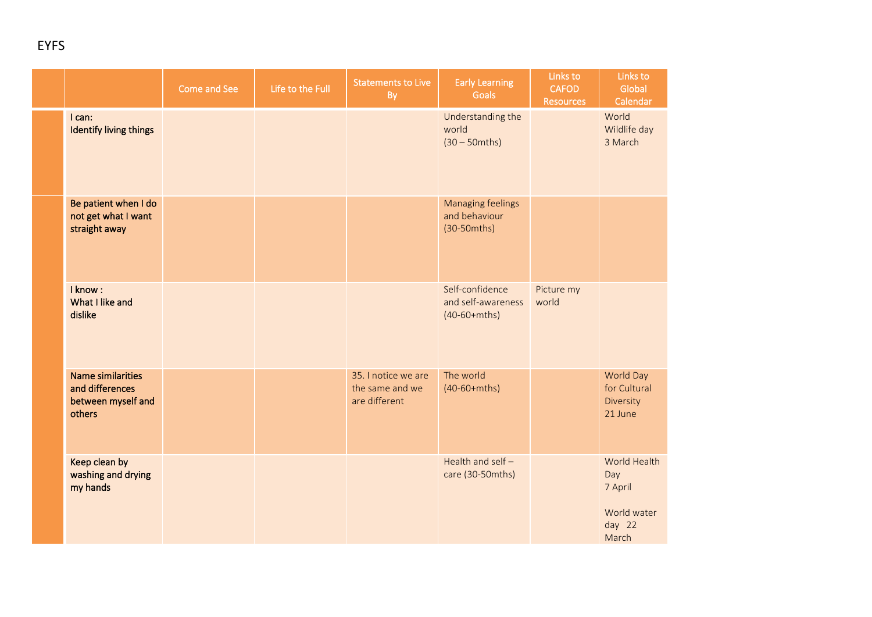|                                                                             | Come and See | Life to the Full | <b>Statements to Live</b><br>By                         | <b>Early Learning</b><br><b>Goals</b>                   | Links to<br><b>CAFOD</b><br><b>Resources</b> | Links to<br>Global<br>Calendar                                   |
|-----------------------------------------------------------------------------|--------------|------------------|---------------------------------------------------------|---------------------------------------------------------|----------------------------------------------|------------------------------------------------------------------|
| I can:<br><b>Identify living things</b>                                     |              |                  |                                                         | Understanding the<br>world<br>$(30 - 50)$               |                                              | World<br>Wildlife day<br>3 March                                 |
| Be patient when I do<br>not get what I want<br>straight away                |              |                  |                                                         | Managing feelings<br>and behaviour<br>$(30-50mths)$     |                                              |                                                                  |
| I know:<br>What I like and<br>dislike                                       |              |                  |                                                         | Self-confidence<br>and self-awareness<br>$(40-60+mths)$ | Picture my<br>world                          |                                                                  |
| <b>Name similarities</b><br>and differences<br>between myself and<br>others |              |                  | 35. I notice we are<br>the same and we<br>are different | The world<br>$(40-60+mths)$                             |                                              | World Day<br>for Cultural<br>Diversity<br>21 June                |
| Keep clean by<br>washing and drying<br>my hands                             |              |                  |                                                         | Health and self-<br>care (30-50mths)                    |                                              | World Health<br>Day<br>7 April<br>World water<br>day 22<br>March |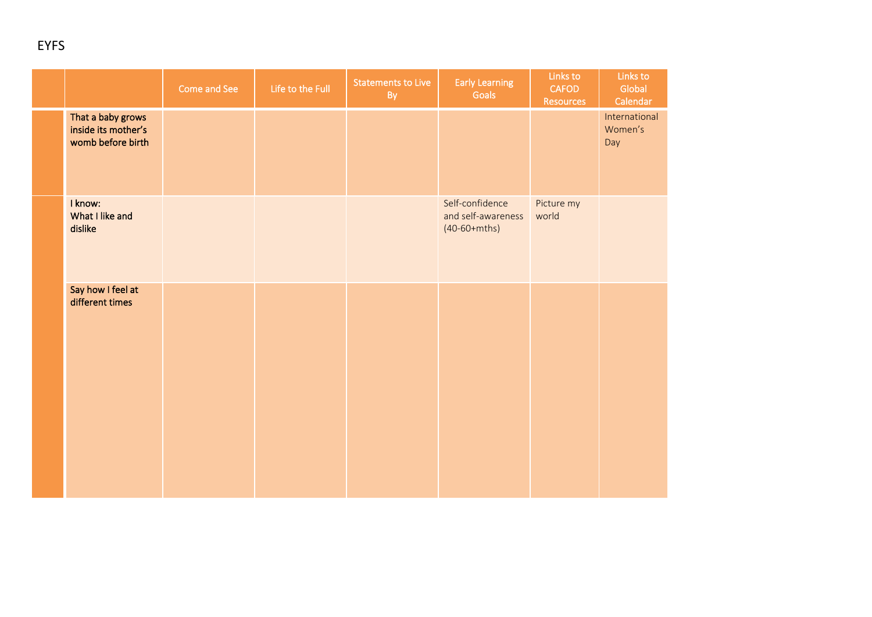|                                                               | Come and See | Life to the Full | <b>Statements to Live</b><br>By | <b>Early Learning</b><br>Goals                          | Links to<br><b>CAFOD</b><br><b>Resources</b> | Links to<br>Global<br>Calendar  |
|---------------------------------------------------------------|--------------|------------------|---------------------------------|---------------------------------------------------------|----------------------------------------------|---------------------------------|
| That a baby grows<br>inside its mother's<br>womb before birth |              |                  |                                 |                                                         |                                              | International<br>Women's<br>Day |
| I know:<br>What I like and<br>dislike                         |              |                  |                                 | Self-confidence<br>and self-awareness<br>$(40-60+mths)$ | Picture my<br>world                          |                                 |
| Say how I feel at<br>different times                          |              |                  |                                 |                                                         |                                              |                                 |
|                                                               |              |                  |                                 |                                                         |                                              |                                 |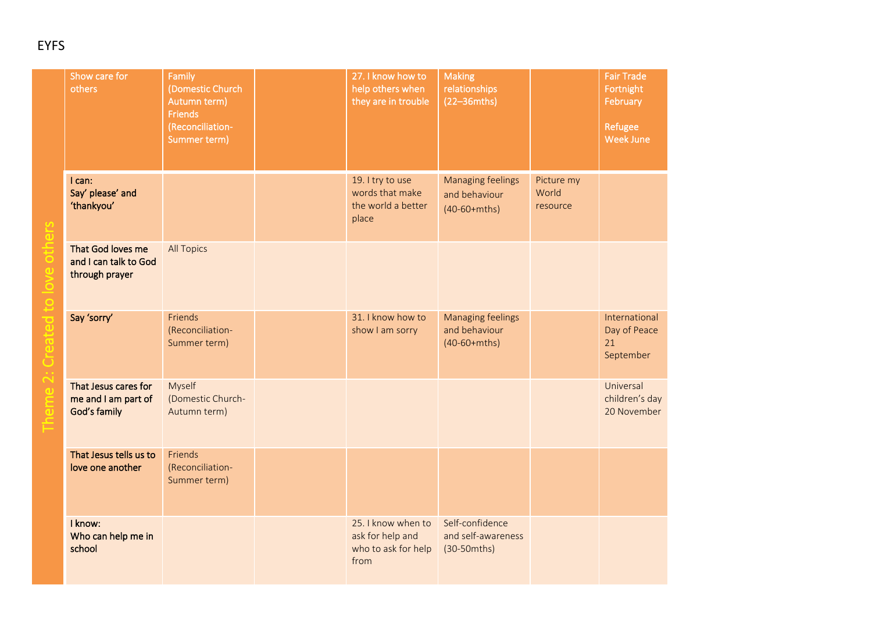| Show care for<br>others                                      | Family<br>(Domestic Church<br>Autumn term)<br><b>Friends</b><br>(Reconciliation-<br>Summer term) | 27. I know how to<br>help others when<br>they are in trouble          | <b>Making</b><br>relationships<br>$(22 - 36)$               |                                 | <b>Fair Trade</b><br>Fortnight<br>February<br>Refugee<br>Week June |
|--------------------------------------------------------------|--------------------------------------------------------------------------------------------------|-----------------------------------------------------------------------|-------------------------------------------------------------|---------------------------------|--------------------------------------------------------------------|
| I can:<br>Say' please' and<br>'thankyou'                     |                                                                                                  | 19. I try to use<br>words that make<br>the world a better<br>place    | <b>Managing feelings</b><br>and behaviour<br>$(40-60+mths)$ | Picture my<br>World<br>resource |                                                                    |
| That God loves me<br>and I can talk to God<br>through prayer | <b>All Topics</b>                                                                                |                                                                       |                                                             |                                 |                                                                    |
| Say 'sorry'                                                  | Friends<br>(Reconciliation-<br>Summer term)                                                      | 31. I know how to<br>show I am sorry                                  | <b>Managing feelings</b><br>and behaviour<br>$(40-60+mths)$ |                                 | International<br>Day of Peace<br>21<br>September                   |
| That Jesus cares for<br>me and I am part of<br>God's family  | Myself<br>(Domestic Church-<br>Autumn term)                                                      |                                                                       |                                                             |                                 | Universal<br>children's day<br>20 November                         |
| That Jesus tells us to<br>love one another                   | Friends<br>(Reconciliation-<br>Summer term)                                                      |                                                                       |                                                             |                                 |                                                                    |
| I know:<br>Who can help me in<br>school                      |                                                                                                  | 25. I know when to<br>ask for help and<br>who to ask for help<br>from | Self-confidence<br>and self-awareness<br>$(30-50mths)$      |                                 |                                                                    |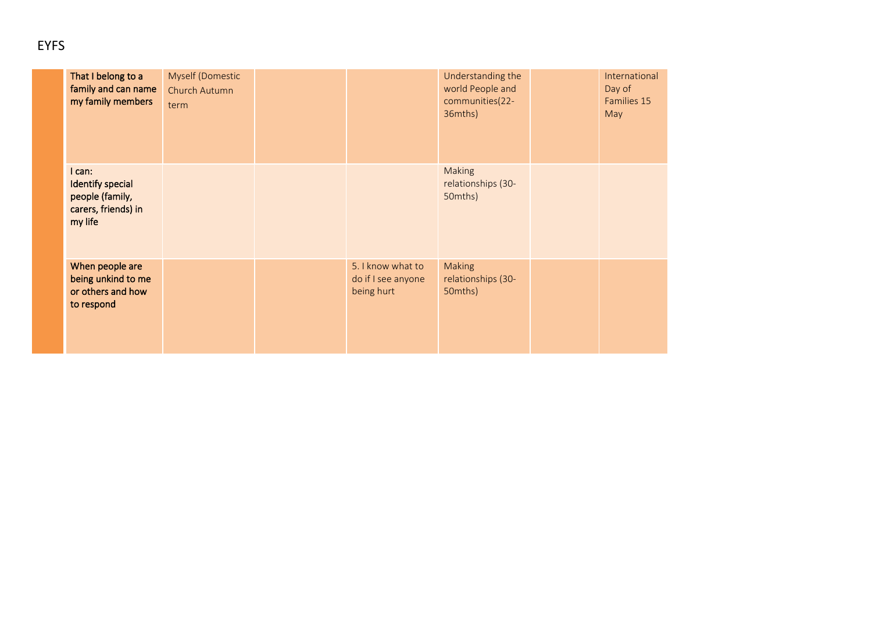| That I belong to a<br>family and can name<br>my family members                  | Myself (Domestic<br>Church Autumn<br>term |                                                       | Understanding the<br>world People and<br>communities(22-<br>36mths) | International<br>Day of<br>Families 15<br>May |
|---------------------------------------------------------------------------------|-------------------------------------------|-------------------------------------------------------|---------------------------------------------------------------------|-----------------------------------------------|
| I can:<br>Identify special<br>people (family,<br>carers, friends) in<br>my life |                                           |                                                       | Making<br>relationships (30-<br>50mths)                             |                                               |
| When people are<br>being unkind to me<br>or others and how<br>to respond        |                                           | 5. I know what to<br>do if I see anyone<br>being hurt | <b>Making</b><br>relationships (30-<br>50mths)                      |                                               |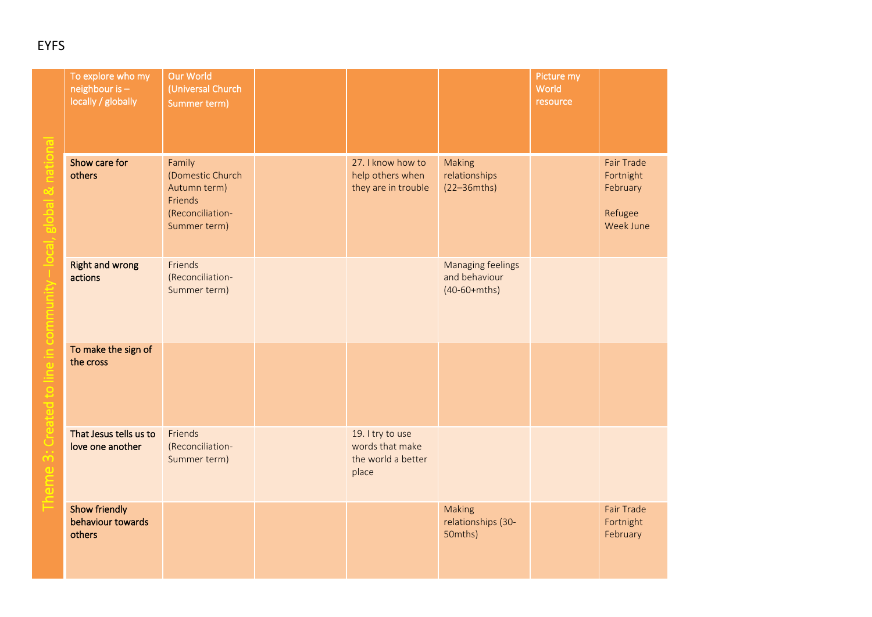| To explore who my<br>neighbour is -<br>locally / globally | Our World<br>(Universal Church<br>Summer term)                                            |                                                                    |                                                             | Picture my<br>World<br>resource |                                                                    |
|-----------------------------------------------------------|-------------------------------------------------------------------------------------------|--------------------------------------------------------------------|-------------------------------------------------------------|---------------------------------|--------------------------------------------------------------------|
| Show care for<br>others                                   | Family<br>(Domestic Church<br>Autumn term)<br>Friends<br>(Reconciliation-<br>Summer term) | 27. I know how to<br>help others when<br>they are in trouble       | Making<br>relationships<br>$(22-36mths)$                    |                                 | <b>Fair Trade</b><br>Fortnight<br>February<br>Refugee<br>Week June |
| <b>Right and wrong</b><br>actions                         | Friends<br>(Reconciliation-<br>Summer term)                                               |                                                                    | <b>Managing feelings</b><br>and behaviour<br>$(40-60+mths)$ |                                 |                                                                    |
| To make the sign of<br>the cross                          |                                                                                           |                                                                    |                                                             |                                 |                                                                    |
| That Jesus tells us to<br>love one another                | Friends<br>(Reconciliation-<br>Summer term)                                               | 19. I try to use<br>words that make<br>the world a better<br>place |                                                             |                                 |                                                                    |
| <b>Show friendly</b><br>behaviour towards<br>others       |                                                                                           |                                                                    | Making<br>relationships (30-<br>50mths)                     |                                 | <b>Fair Trade</b><br>Fortnight<br>February                         |

Theme 3: Created to line in community – local, global & national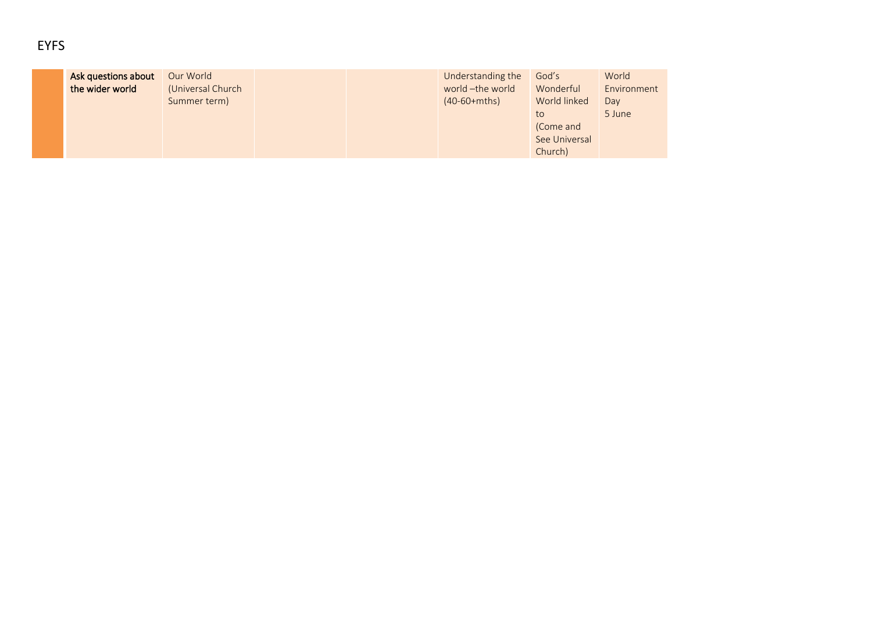| M.<br>w<br>v |
|--------------|
|--------------|

| Ask questions about | Our World         |  | Understanding the | God's         | World       |
|---------------------|-------------------|--|-------------------|---------------|-------------|
| the wider world     | (Universal Church |  | world -the world  | Wonderful     | Environment |
|                     | Summer term)      |  | $(40-60+mths)$    | World linked  | Day         |
|                     |                   |  |                   | to            | 5 June      |
|                     |                   |  |                   | (Come and     |             |
|                     |                   |  |                   | See Universal |             |
|                     |                   |  |                   | Church)       |             |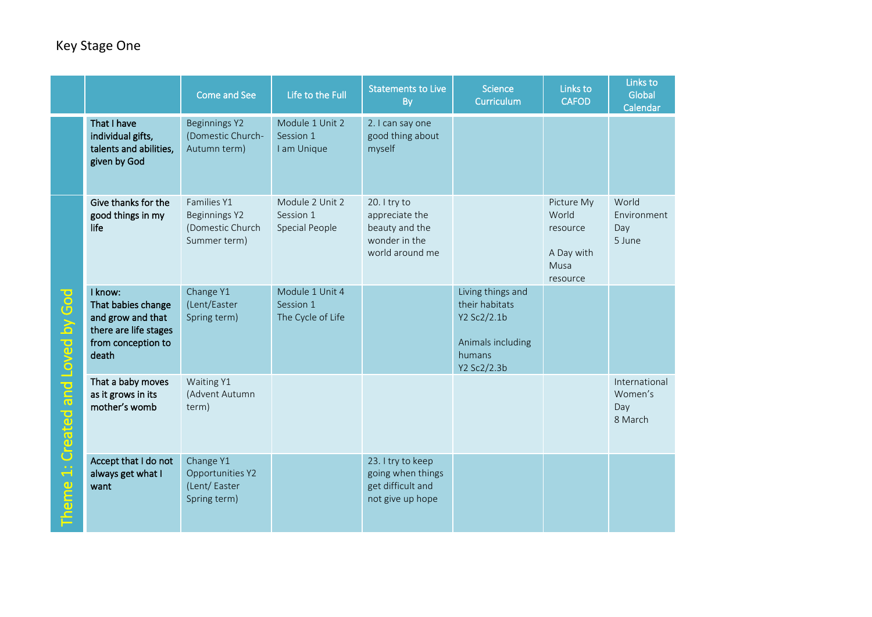|                                                  |                                                                                                            | Come and See                                                     | Life to the Full                                  | <b>Statements to Live</b><br>By                                                      | <b>Science</b><br><b>Curriculum</b>                                                              | Links to<br><b>CAFOD</b>                                          | Links to<br>Global<br>Calendar             |
|--------------------------------------------------|------------------------------------------------------------------------------------------------------------|------------------------------------------------------------------|---------------------------------------------------|--------------------------------------------------------------------------------------|--------------------------------------------------------------------------------------------------|-------------------------------------------------------------------|--------------------------------------------|
|                                                  | That I have<br>individual gifts,<br>talents and abilities,<br>given by God                                 | Beginnings Y2<br>(Domestic Church-<br>Autumn term)               | Module 1 Unit 2<br>Session 1<br>I am Unique       | 2. I can say one<br>good thing about<br>myself                                       |                                                                                                  |                                                                   |                                            |
|                                                  | Give thanks for the<br>good things in my<br>life                                                           | Families Y1<br>Beginnings Y2<br>(Domestic Church<br>Summer term) | Module 2 Unit 2<br>Session 1<br>Special People    | 20. I try to<br>appreciate the<br>beauty and the<br>wonder in the<br>world around me |                                                                                                  | Picture My<br>World<br>resource<br>A Day with<br>Musa<br>resource | World<br>Environment<br>Day<br>5 June      |
| 1: Created and Loved by God<br>heme <sup>-</sup> | I know:<br>That babies change<br>and grow and that<br>there are life stages<br>from conception to<br>death | Change Y1<br>(Lent/Easter<br>Spring term)                        | Module 1 Unit 4<br>Session 1<br>The Cycle of Life |                                                                                      | Living things and<br>their habitats<br>Y2 Sc2/2.1b<br>Animals including<br>humans<br>Y2 Sc2/2.3b |                                                                   |                                            |
|                                                  | That a baby moves<br>as it grows in its<br>mother's womb                                                   | Waiting Y1<br>(Advent Autumn<br>term)                            |                                                   |                                                                                      |                                                                                                  |                                                                   | International<br>Women's<br>Day<br>8 March |
|                                                  | Accept that I do not<br>always get what I<br>want                                                          | Change Y1<br>Opportunities Y2<br>(Lent/Easter<br>Spring term)    |                                                   | 23. I try to keep<br>going when things<br>get difficult and<br>not give up hope      |                                                                                                  |                                                                   |                                            |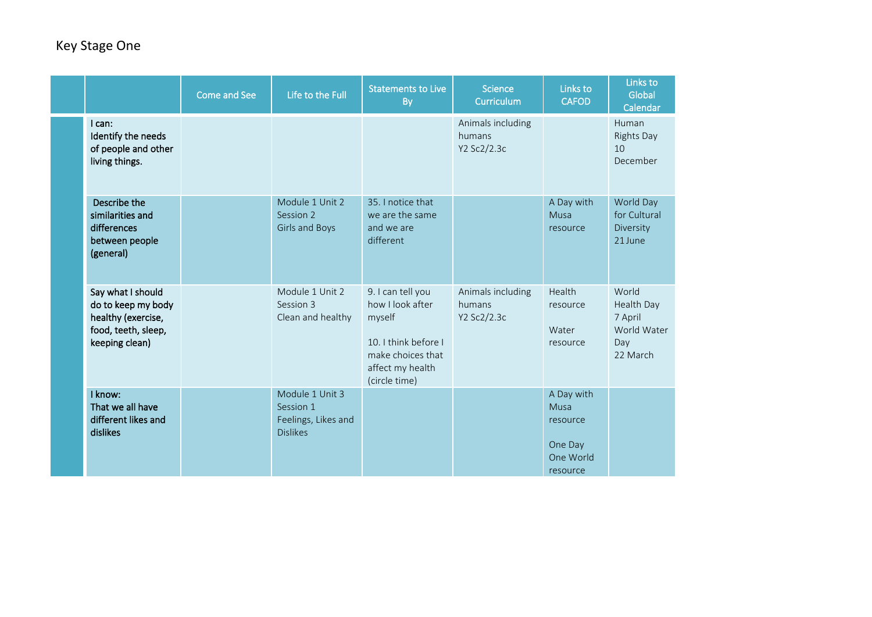|  |                                                                                                        | <b>Come and See</b> | Life to the Full                                                       | <b>Statements to Live</b><br><b>By</b>                                                                                            | <b>Science</b><br>Curriculum               | Links to<br><b>CAFOD</b>                                           | Links to<br>Global<br>Calendar                                   |
|--|--------------------------------------------------------------------------------------------------------|---------------------|------------------------------------------------------------------------|-----------------------------------------------------------------------------------------------------------------------------------|--------------------------------------------|--------------------------------------------------------------------|------------------------------------------------------------------|
|  | I can:<br>Identify the needs<br>of people and other<br>living things.                                  |                     |                                                                        |                                                                                                                                   | Animals including<br>humans<br>Y2 Sc2/2.3c |                                                                    | Human<br><b>Rights Day</b><br>10<br>December                     |
|  | Describe the<br>similarities and<br>differences<br>between people<br>(general)                         |                     | Module 1 Unit 2<br>Session 2<br>Girls and Boys                         | 35. I notice that<br>we are the same<br>and we are<br>different                                                                   |                                            | A Day with<br>Musa<br>resource                                     | World Day<br>for Cultural<br>Diversity<br>21 June                |
|  | Say what I should<br>do to keep my body<br>healthy (exercise,<br>food, teeth, sleep,<br>keeping clean) |                     | Module 1 Unit 2<br>Session 3<br>Clean and healthy                      | 9. I can tell you<br>how I look after<br>myself<br>10. I think before I<br>make choices that<br>affect my health<br>(circle time) | Animals including<br>humans<br>Y2 Sc2/2.3c | Health<br>resource<br>Water<br>resource                            | World<br>Health Day<br>7 April<br>World Water<br>Day<br>22 March |
|  | I know:<br>That we all have<br>different likes and<br>dislikes                                         |                     | Module 1 Unit 3<br>Session 1<br>Feelings, Likes and<br><b>Dislikes</b> |                                                                                                                                   |                                            | A Day with<br>Musa<br>resource<br>One Day<br>One World<br>resource |                                                                  |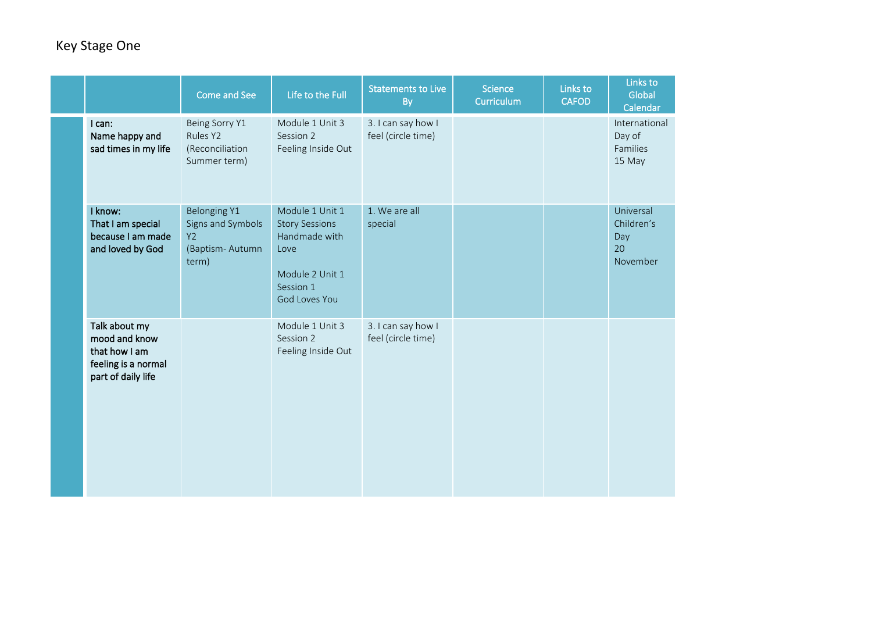|                                                                                              | Come and See                                                               | Life to the Full                                                                                                   | <b>Statements to Live</b><br>By          | Science<br>Curriculum | Links to<br><b>CAFOD</b> | Links to<br>Global<br>Calendar                   |
|----------------------------------------------------------------------------------------------|----------------------------------------------------------------------------|--------------------------------------------------------------------------------------------------------------------|------------------------------------------|-----------------------|--------------------------|--------------------------------------------------|
| I can:<br>Name happy and<br>sad times in my life                                             | Being Sorry Y1<br>Rules <sub>Y2</sub><br>(Reconciliation<br>Summer term)   | Module 1 Unit 3<br>Session 2<br>Feeling Inside Out                                                                 | 3. I can say how I<br>feel (circle time) |                       |                          | International<br>Day of<br>Families<br>15 May    |
| I know:<br>That I am special<br>because I am made<br>and loved by God                        | Belonging Y1<br>Signs and Symbols<br><b>Y2</b><br>(Baptism-Autumn<br>term) | Module 1 Unit 1<br><b>Story Sessions</b><br>Handmade with<br>Love<br>Module 2 Unit 1<br>Session 1<br>God Loves You | 1. We are all<br>special                 |                       |                          | Universal<br>Children's<br>Day<br>20<br>November |
| Talk about my<br>mood and know<br>that how I am<br>feeling is a normal<br>part of daily life |                                                                            | Module 1 Unit 3<br>Session 2<br>Feeling Inside Out                                                                 | 3. I can say how I<br>feel (circle time) |                       |                          |                                                  |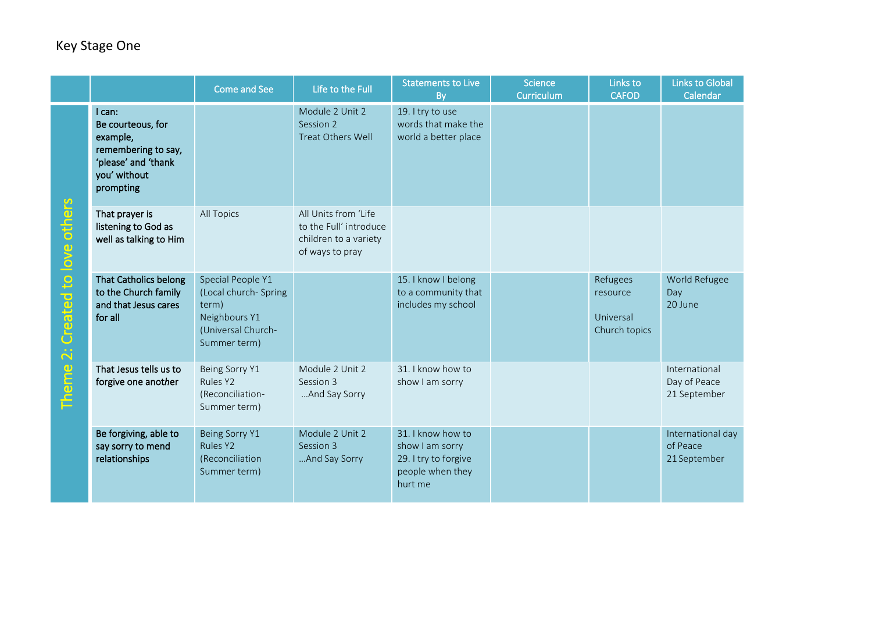|                                                        |                                                                                                                    | Come and See                                                                                               | Life to the Full                                                                           | <b>Statements to Live</b><br><b>By</b>                                                      | <b>Science</b><br>Curriculum | Links to<br><b>CAFOD</b>                           | <b>Links to Global</b><br>Calendar            |
|--------------------------------------------------------|--------------------------------------------------------------------------------------------------------------------|------------------------------------------------------------------------------------------------------------|--------------------------------------------------------------------------------------------|---------------------------------------------------------------------------------------------|------------------------------|----------------------------------------------------|-----------------------------------------------|
| Created to love others<br>$\ddot{\mathbf{c}}$<br>Theme | l can:<br>Be courteous, for<br>example,<br>remembering to say,<br>'please' and 'thank<br>you' without<br>prompting |                                                                                                            | Module 2 Unit 2<br>Session 2<br>Treat Others Well                                          | 19. I try to use<br>words that make the<br>world a better place                             |                              |                                                    |                                               |
|                                                        | That prayer is<br>listening to God as<br>well as talking to Him                                                    | All Topics                                                                                                 | All Units from 'Life<br>to the Full' introduce<br>children to a variety<br>of ways to pray |                                                                                             |                              |                                                    |                                               |
|                                                        | <b>That Catholics belong</b><br>to the Church family<br>and that Jesus cares<br>for all                            | Special People Y1<br>(Local church- Spring<br>term)<br>Neighbours Y1<br>(Universal Church-<br>Summer term) |                                                                                            | 15. I know I belong<br>to a community that<br>includes my school                            |                              | Refugees<br>resource<br>Universal<br>Church topics | World Refugee<br>Day<br>20 June               |
|                                                        | That Jesus tells us to<br>forgive one another                                                                      | Being Sorry Y1<br>Rules Y2<br>(Reconciliation-<br>Summer term)                                             | Module 2 Unit 2<br>Session 3<br>And Say Sorry                                              | 31. I know how to<br>show I am sorry                                                        |                              |                                                    | International<br>Day of Peace<br>21 September |
|                                                        | Be forgiving, able to<br>say sorry to mend<br>relationships                                                        | Being Sorry Y1<br>Rules Y2<br>(Reconciliation<br>Summer term)                                              | Module 2 Unit 2<br>Session 3<br>And Say Sorry                                              | 31. I know how to<br>show I am sorry<br>29. I try to forgive<br>people when they<br>hurt me |                              |                                                    | International day<br>of Peace<br>21 September |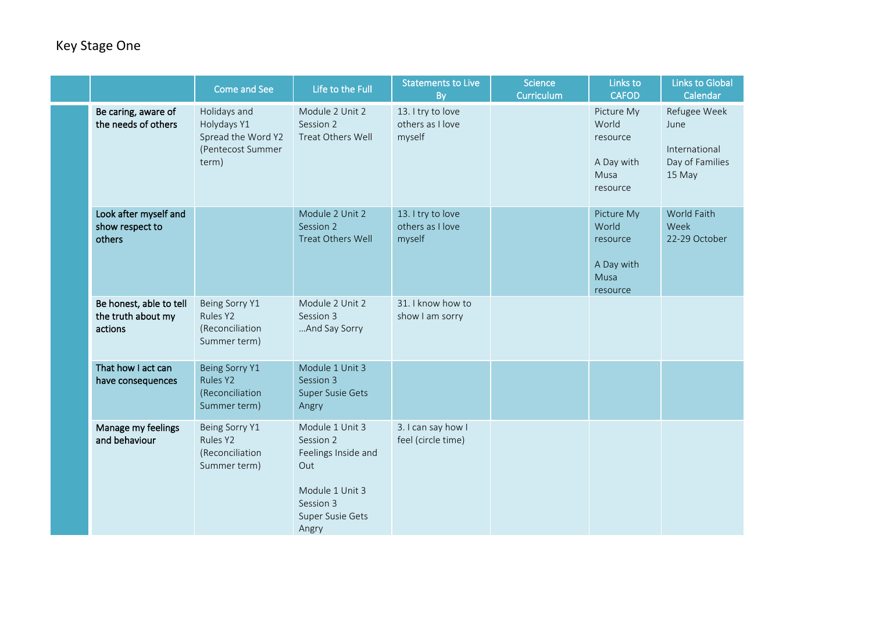|                                                          | <b>Come and See</b>                                                             | Life to the Full                                                                                                        | <b>Statements to Live</b><br>By                 | <b>Science</b><br>Curriculum | Links to<br><b>CAFOD</b>                                          | Links to Global<br>Calendar                                        |
|----------------------------------------------------------|---------------------------------------------------------------------------------|-------------------------------------------------------------------------------------------------------------------------|-------------------------------------------------|------------------------------|-------------------------------------------------------------------|--------------------------------------------------------------------|
| Be caring, aware of<br>the needs of others               | Holidays and<br>Holydays Y1<br>Spread the Word Y2<br>(Pentecost Summer<br>term) | Module 2 Unit 2<br>Session 2<br>Treat Others Well                                                                       | 13. I try to love<br>others as I love<br>myself |                              | Picture My<br>World<br>resource<br>A Day with<br>Musa<br>resource | Refugee Week<br>June<br>International<br>Day of Families<br>15 May |
| Look after myself and<br>show respect to<br>others       |                                                                                 | Module 2 Unit 2<br>Session 2<br>Treat Others Well                                                                       | 13. I try to love<br>others as I love<br>myself |                              | Picture My<br>World<br>resource<br>A Day with<br>Musa<br>resource | World Faith<br>Week<br>22-29 October                               |
| Be honest, able to tell<br>the truth about my<br>actions | Being Sorry Y1<br>Rules Y2<br>(Reconciliation<br>Summer term)                   | Module 2 Unit 2<br>Session 3<br>And Say Sorry                                                                           | 31. I know how to<br>show I am sorry            |                              |                                                                   |                                                                    |
| That how I act can<br>have consequences                  | Being Sorry Y1<br>Rules Y2<br>(Reconciliation<br>Summer term)                   | Module 1 Unit 3<br>Session 3<br>Super Susie Gets<br>Angry                                                               |                                                 |                              |                                                                   |                                                                    |
| Manage my feelings<br>and behaviour                      | Being Sorry Y1<br>Rules Y2<br>(Reconciliation<br>Summer term)                   | Module 1 Unit 3<br>Session 2<br>Feelings Inside and<br>Out<br>Module 1 Unit 3<br>Session 3<br>Super Susie Gets<br>Angry | 3. I can say how I<br>feel (circle time)        |                              |                                                                   |                                                                    |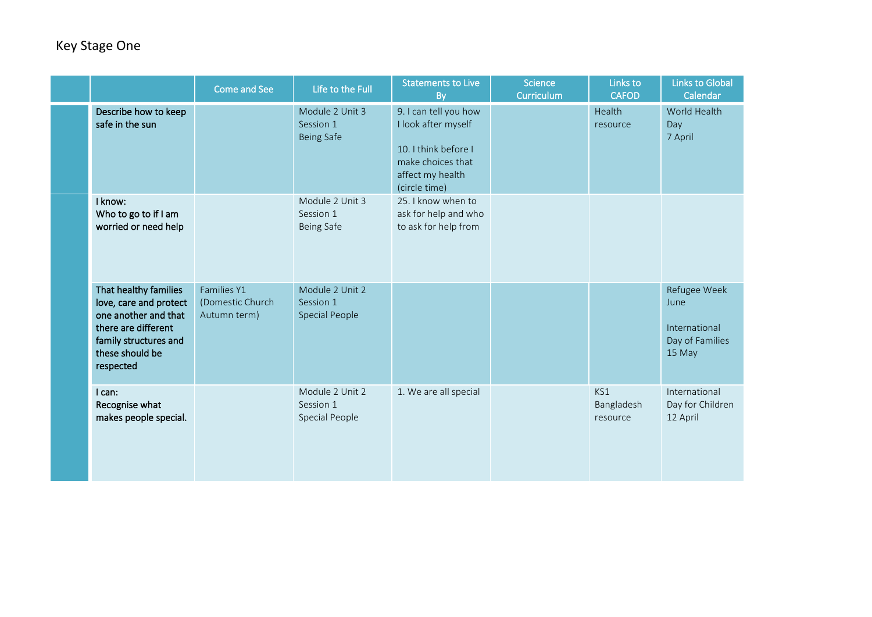|  |                                                                                                                                                         | Come and See                                    | Life to the Full                                      | <b>Statements to Live</b><br>By                                                                                                | <b>Science</b><br>Curriculum | Links to<br><b>CAFOD</b>      | <b>Links to Global</b><br>Calendar                                 |
|--|---------------------------------------------------------------------------------------------------------------------------------------------------------|-------------------------------------------------|-------------------------------------------------------|--------------------------------------------------------------------------------------------------------------------------------|------------------------------|-------------------------------|--------------------------------------------------------------------|
|  | Describe how to keep<br>safe in the sun                                                                                                                 |                                                 | Module 2 Unit 3<br>Session 1<br><b>Being Safe</b>     | 9. I can tell you how<br>I look after myself<br>10. I think before I<br>make choices that<br>affect my health<br>(circle time) |                              | Health<br>resource            | World Health<br>Day<br>7 April                                     |
|  | I know:<br>Who to go to if I am<br>worried or need help                                                                                                 |                                                 | Module 2 Unit 3<br>Session 1<br>Being Safe            | 25. I know when to<br>ask for help and who<br>to ask for help from                                                             |                              |                               |                                                                    |
|  | That healthy families<br>love, care and protect<br>one another and that<br>there are different<br>family structures and<br>these should be<br>respected | Families Y1<br>(Domestic Church<br>Autumn term) | Module 2 Unit 2<br>Session 1<br><b>Special People</b> |                                                                                                                                |                              |                               | Refugee Week<br>June<br>International<br>Day of Families<br>15 May |
|  | I can:<br>Recognise what<br>makes people special.                                                                                                       |                                                 | Module 2 Unit 2<br>Session 1<br>Special People        | 1. We are all special                                                                                                          |                              | KS1<br>Bangladesh<br>resource | International<br>Day for Children<br>12 April                      |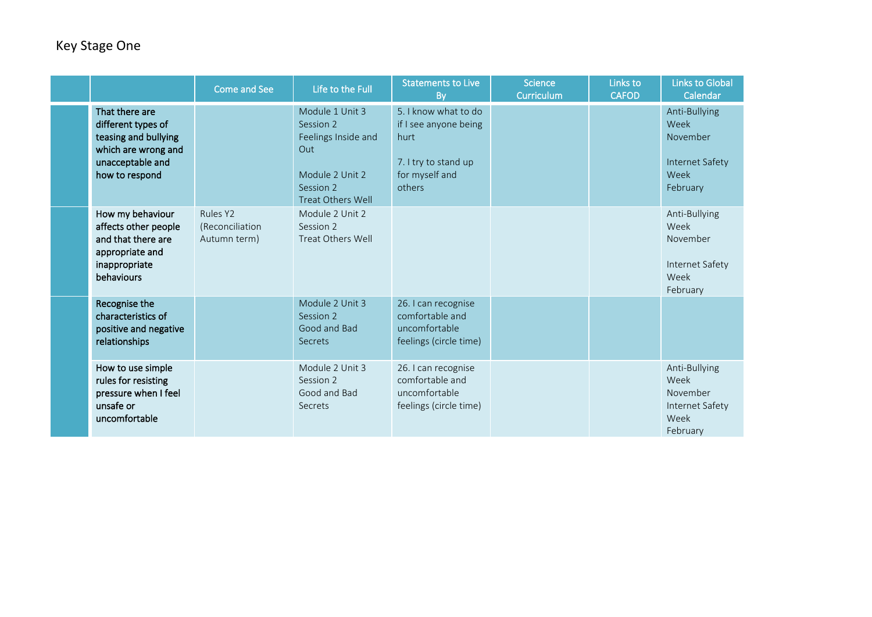|  |                                                                                                                           | Come and See                                        | Life to the Full                                                                                                       | Statements to Live<br><b>By</b>                                                                           | <b>Science</b><br><b>Curriculum</b> | Links to<br><b>CAFOD</b> | <b>Links to Global</b><br>Calendar                                       |
|--|---------------------------------------------------------------------------------------------------------------------------|-----------------------------------------------------|------------------------------------------------------------------------------------------------------------------------|-----------------------------------------------------------------------------------------------------------|-------------------------------------|--------------------------|--------------------------------------------------------------------------|
|  | That there are<br>different types of<br>teasing and bullying<br>which are wrong and<br>unacceptable and<br>how to respond |                                                     | Module 1 Unit 3<br>Session 2<br>Feelings Inside and<br>Out<br>Module 2 Unit 2<br>Session 2<br><b>Treat Others Well</b> | 5. I know what to do<br>if I see anyone being<br>hurt<br>7. I try to stand up<br>for myself and<br>others |                                     |                          | Anti-Bullying<br>Week<br>November<br>Internet Safety<br>Week<br>February |
|  | How my behaviour<br>affects other people<br>and that there are<br>appropriate and<br>inappropriate<br>behaviours          | Rules Y2<br><i>(Reconciliation)</i><br>Autumn term) | Module 2 Unit 2<br>Session 2<br>Treat Others Well                                                                      |                                                                                                           |                                     |                          | Anti-Bullying<br>Week<br>November<br>Internet Safety<br>Week<br>February |
|  | Recognise the<br>characteristics of<br>positive and negative<br>relationships                                             |                                                     | Module 2 Unit 3<br>Session 2<br>Good and Bad<br>Secrets                                                                | 26. I can recognise<br>comfortable and<br>uncomfortable<br>feelings (circle time)                         |                                     |                          |                                                                          |
|  | How to use simple<br>rules for resisting<br>pressure when I feel<br>unsafe or<br>uncomfortable                            |                                                     | Module 2 Unit 3<br>Session 2<br>Good and Bad<br>Secrets                                                                | 26. I can recognise<br>comfortable and<br>uncomfortable<br>feelings (circle time)                         |                                     |                          | Anti-Bullying<br>Week<br>November<br>Internet Safety<br>Week<br>February |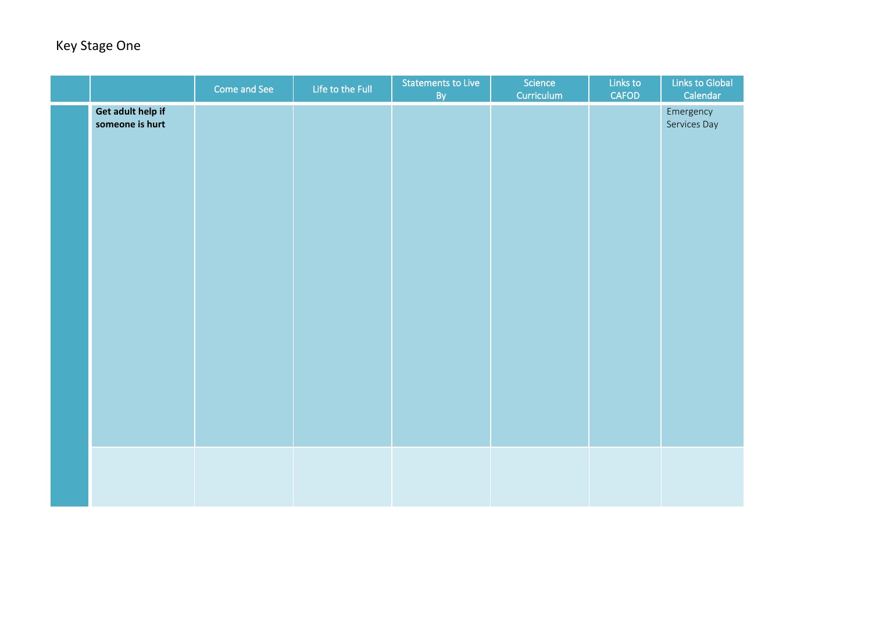|                                      | Come and See | Life to the Full | Statements to Live<br>By | Science<br>Curriculum | Links to<br>CAFOD | Links to Global<br>Calendar |
|--------------------------------------|--------------|------------------|--------------------------|-----------------------|-------------------|-----------------------------|
| Get adult help if<br>someone is hurt |              |                  |                          |                       |                   | Emergency<br>Services Day   |
|                                      |              |                  |                          |                       |                   |                             |
|                                      |              |                  |                          |                       |                   |                             |
|                                      |              |                  |                          |                       |                   |                             |
|                                      |              |                  |                          |                       |                   |                             |
|                                      |              |                  |                          |                       |                   |                             |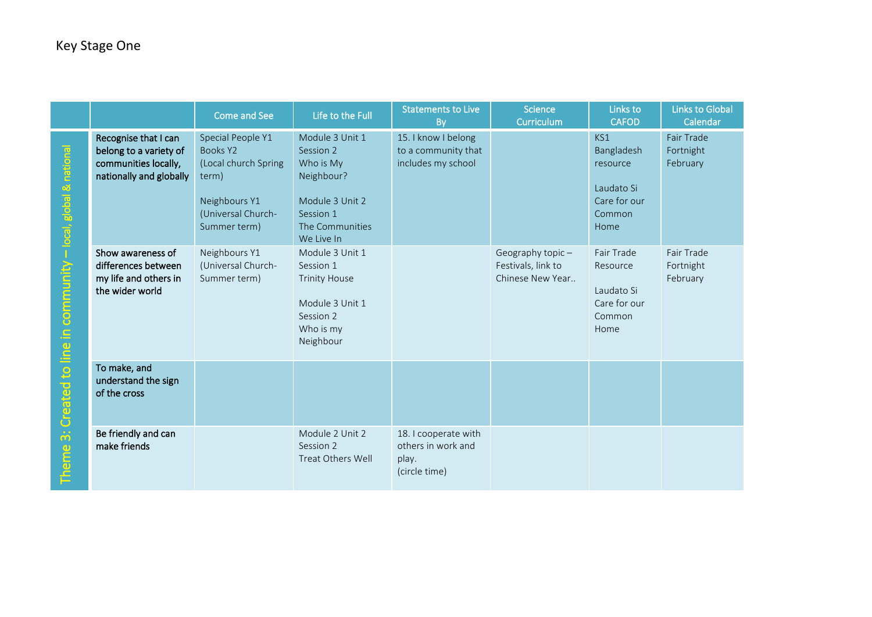|                                                                     |                                                                                                   | Come and See                                                                                                          | Life to the Full                                                                                                         | <b>Statements to Live</b><br><b>By</b>                               | <b>Science</b><br>Curriculum                                  | Links to<br><b>CAFOD</b>                                                      | Links to Global<br>Calendar         |
|---------------------------------------------------------------------|---------------------------------------------------------------------------------------------------|-----------------------------------------------------------------------------------------------------------------------|--------------------------------------------------------------------------------------------------------------------------|----------------------------------------------------------------------|---------------------------------------------------------------|-------------------------------------------------------------------------------|-------------------------------------|
| 3: Created to line in community - local, global & national<br>Theme | Recognise that I can<br>belong to a variety of<br>communities locally,<br>nationally and globally | Special People Y1<br>Books Y2<br>(Local church Spring<br>term)<br>Neighbours Y1<br>(Universal Church-<br>Summer term) | Module 3 Unit 1<br>Session 2<br>Who is My<br>Neighbour?<br>Module 3 Unit 2<br>Session 1<br>The Communities<br>We Live In | 15. I know I belong<br>to a community that<br>includes my school     |                                                               | KS1<br>Bangladesh<br>resource<br>Laudato Si<br>Care for our<br>Common<br>Home | Fair Trade<br>Fortnight<br>February |
|                                                                     | Show awareness of<br>differences between<br>my life and others in<br>the wider world              | Neighbours Y1<br>(Universal Church-<br>Summer term)                                                                   | Module 3 Unit 1<br>Session 1<br><b>Trinity House</b><br>Module 3 Unit 1<br>Session 2<br>Who is my<br>Neighbour           |                                                                      | Geography topic $-$<br>Festivals, link to<br>Chinese New Year | Fair Trade<br>Resource<br>Laudato Si<br>Care for our<br>Common<br>Home        | Fair Trade<br>Fortnight<br>February |
|                                                                     | To make, and<br>understand the sign<br>of the cross                                               |                                                                                                                       |                                                                                                                          |                                                                      |                                                               |                                                                               |                                     |
|                                                                     | Be friendly and can<br>make friends                                                               |                                                                                                                       | Module 2 Unit 2<br>Session 2<br>Treat Others Well                                                                        | 18. I cooperate with<br>others in work and<br>play.<br>(circle time) |                                                               |                                                                               |                                     |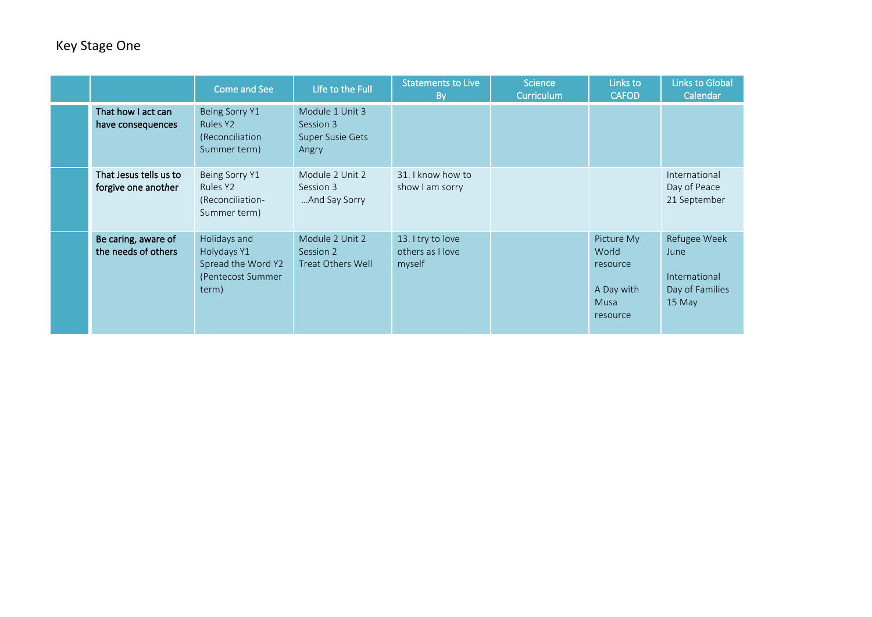|                                               | Come and See                                                                    | Life to the Full                                                 | <b>Statements to Live</b><br><b>By</b>          | Science<br>Curriculum | Links to<br><b>CAFOD</b>                                                 | <b>Links to Global</b><br>Calendar                                 |
|-----------------------------------------------|---------------------------------------------------------------------------------|------------------------------------------------------------------|-------------------------------------------------|-----------------------|--------------------------------------------------------------------------|--------------------------------------------------------------------|
| That how I act can<br>have consequences       | Being Sorry Y1<br>Rules Y2<br>(Reconciliation<br>Summer term)                   | Module 1 Unit 3<br>Session 3<br><b>Super Susie Gets</b><br>Angry |                                                 |                       |                                                                          |                                                                    |
| That Jesus tells us to<br>forgive one another | Being Sorry Y1<br>Rules Y2<br>(Reconciliation-<br>Summer term)                  | Module 2 Unit 2<br>Session 3<br>And Say Sorry                    | 31. I know how to<br>show I am sorry            |                       |                                                                          | International<br>Day of Peace<br>21 September                      |
| Be caring, aware of<br>the needs of others    | Holidays and<br>Holydays Y1<br>Spread the Word Y2<br>(Pentecost Summer<br>term) | Module 2 Unit 2<br>Session 2<br>Treat Others Well                | 13. I try to love<br>others as I love<br>myself |                       | Picture My<br>World<br>resource<br>A Day with<br><b>Musa</b><br>resource | Refugee Week<br>June<br>International<br>Day of Families<br>15 May |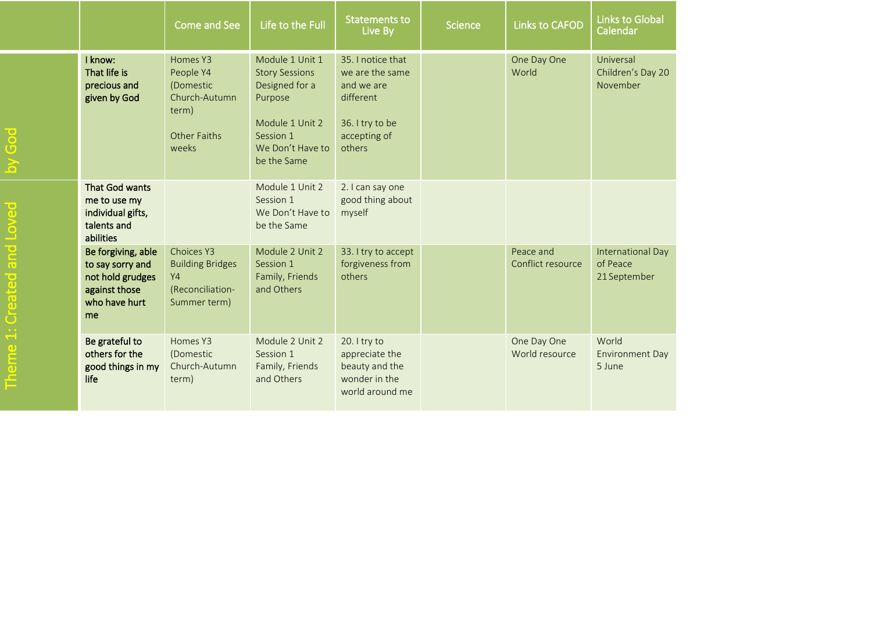|  |                                                                                                    | <b>Come and See</b>                                                                    | Life to the Full                                                                                                                         | Statements to<br>Live By                                                                                     | Science | <b>Links to CAFOD</b>          | <b>Links to Global</b><br>Calendar            |
|--|----------------------------------------------------------------------------------------------------|----------------------------------------------------------------------------------------|------------------------------------------------------------------------------------------------------------------------------------------|--------------------------------------------------------------------------------------------------------------|---------|--------------------------------|-----------------------------------------------|
|  | I know:<br>That life is<br>precious and<br>given by God                                            | Homes Y3<br>People Y4<br>(Domestic<br>Church-Autumn<br>term)<br>Other Faiths<br>weeks  | Module 1 Unit 1<br><b>Story Sessions</b><br>Designed for a<br>Purpose<br>Module 1 Unit 2<br>Session 1<br>We Don't Have to<br>be the Same | 35. I notice that<br>we are the same<br>and we are<br>different<br>36. I try to be<br>accepting of<br>others |         | One Day One<br>World           | Universal<br>Children's Day 20<br>November    |
|  | That God wants<br>me to use my<br>individual gifts,<br>talents and<br>abilities                    |                                                                                        | Module 1 Unit 2<br>Session 1<br>We Don't Have to<br>be the Same                                                                          | 2. I can say one<br>good thing about<br>myself                                                               |         |                                |                                               |
|  | Be forgiving, able<br>to say sorry and<br>not hold grudges<br>against those<br>who have hurt<br>me | Choices Y3<br><b>Building Bridges</b><br><b>Y4</b><br>(Reconciliation-<br>Summer term) | Module 2 Unit 2<br>Session 1<br>Family, Friends<br>and Others                                                                            | 33. I try to accept<br>forgiveness from<br>others                                                            |         | Peace and<br>Conflict resource | International Day<br>of Peace<br>21 September |
|  | Be grateful to<br>others for the<br>good things in my<br>life                                      | Homes Y3<br>(Domestic<br>Church-Autumn<br>term)                                        | Module 2 Unit 2<br>Session 1<br>Family, Friends<br>and Others                                                                            | 20. I try to<br>appreciate the<br>beauty and the<br>wonder in the<br>world around me                         |         | One Day One<br>World resource  | World<br><b>Environment Day</b><br>5 June     |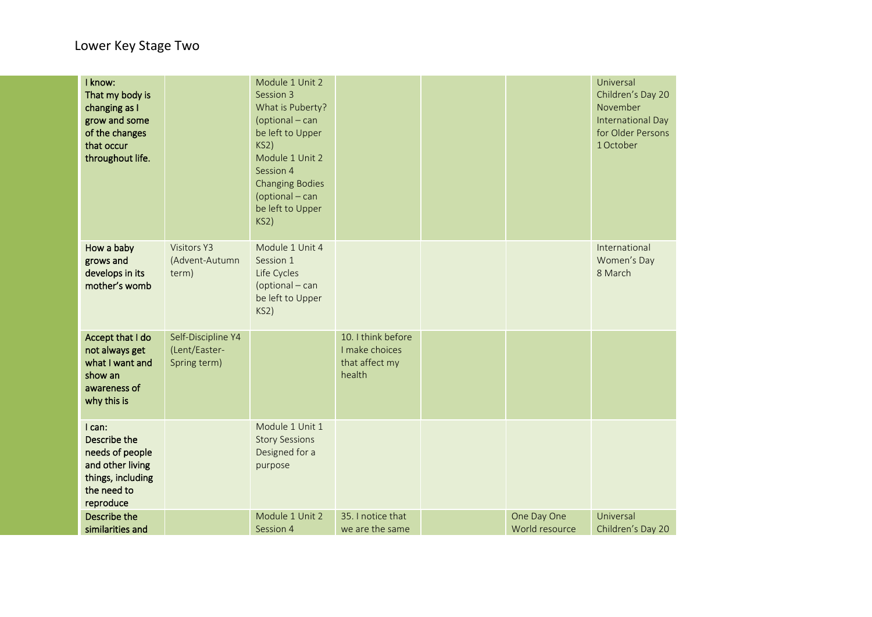| I know:<br>That my body is<br>changing as I<br>grow and some<br>of the changes<br>that occur<br>throughout life. |                                                     | Module 1 Unit 2<br>Session 3<br>What is Puberty?<br>(optional - can<br>be left to Upper<br>KS2)<br>Module 1 Unit 2<br>Session 4<br><b>Changing Bodies</b><br>(optional - can<br>be left to Upper<br>KS2) |                                                                  |                               | Universal<br>Children's Day 20<br>November<br>International Day<br>for Older Persons<br>1 October |
|------------------------------------------------------------------------------------------------------------------|-----------------------------------------------------|----------------------------------------------------------------------------------------------------------------------------------------------------------------------------------------------------------|------------------------------------------------------------------|-------------------------------|---------------------------------------------------------------------------------------------------|
| How a baby<br>grows and<br>develops in its<br>mother's womb                                                      | <b>Visitors Y3</b><br>(Advent-Autumn<br>term)       | Module 1 Unit 4<br>Session 1<br>Life Cycles<br>(optional - can<br>be left to Upper<br>KS2)                                                                                                               |                                                                  |                               | International<br>Women's Day<br>8 March                                                           |
| Accept that I do<br>not always get<br>what I want and<br>show an<br>awareness of<br>why this is                  | Self-Discipline Y4<br>(Lent/Easter-<br>Spring term) |                                                                                                                                                                                                          | 10. I think before<br>I make choices<br>that affect my<br>health |                               |                                                                                                   |
| I can:<br>Describe the<br>needs of people<br>and other living<br>things, including<br>the need to<br>reproduce   |                                                     | Module 1 Unit 1<br><b>Story Sessions</b><br>Designed for a<br>purpose                                                                                                                                    |                                                                  |                               |                                                                                                   |
| Describe the<br>similarities and                                                                                 |                                                     | Module 1 Unit 2<br>Session 4                                                                                                                                                                             | 35. I notice that<br>we are the same                             | One Day One<br>World resource | Universal<br>Children's Day 20                                                                    |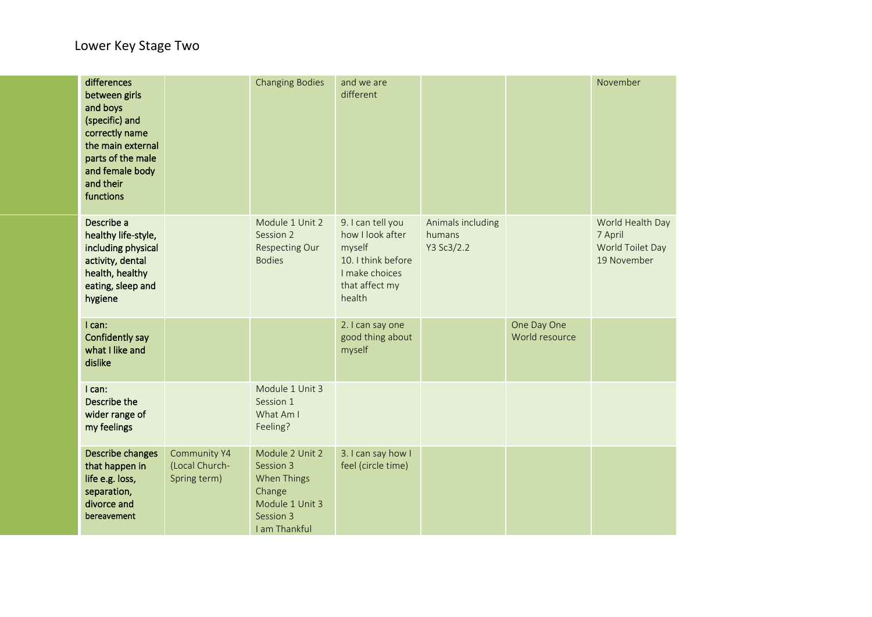| differences<br>between girls<br>and boys<br>(specific) and<br>correctly name<br>the main external<br>parts of the male<br>and female body<br>and their<br>functions |                                                       | <b>Changing Bodies</b>                                                                                 | and we are<br>different                                                                                             |                                           |                               | November                                                       |
|---------------------------------------------------------------------------------------------------------------------------------------------------------------------|-------------------------------------------------------|--------------------------------------------------------------------------------------------------------|---------------------------------------------------------------------------------------------------------------------|-------------------------------------------|-------------------------------|----------------------------------------------------------------|
| Describe a<br>healthy life-style,<br>including physical<br>activity, dental<br>health, healthy<br>eating, sleep and<br>hygiene                                      |                                                       | Module 1 Unit 2<br>Session 2<br><b>Respecting Our</b><br><b>Bodies</b>                                 | 9. I can tell you<br>how I look after<br>myself<br>10. I think before<br>I make choices<br>that affect my<br>health | Animals including<br>humans<br>Y3 Sc3/2.2 |                               | World Health Day<br>7 April<br>World Toilet Day<br>19 November |
| I can:<br>Confidently say<br>what I like and<br>dislike                                                                                                             |                                                       |                                                                                                        | 2. I can say one<br>good thing about<br>myself                                                                      |                                           | One Day One<br>World resource |                                                                |
| I can:<br><b>Describe the</b><br>wider range of<br>my feelings                                                                                                      |                                                       | Module 1 Unit 3<br>Session 1<br>What Am I<br>Feeling?                                                  |                                                                                                                     |                                           |                               |                                                                |
| Describe changes<br>that happen in<br>life e.g. loss,<br>separation,<br>divorce and<br>bereavement                                                                  | <b>Community Y4</b><br>(Local Church-<br>Spring term) | Module 2 Unit 2<br>Session 3<br>When Things<br>Change<br>Module 1 Unit 3<br>Session 3<br>I am Thankful | 3. I can say how I<br>feel (circle time)                                                                            |                                           |                               |                                                                |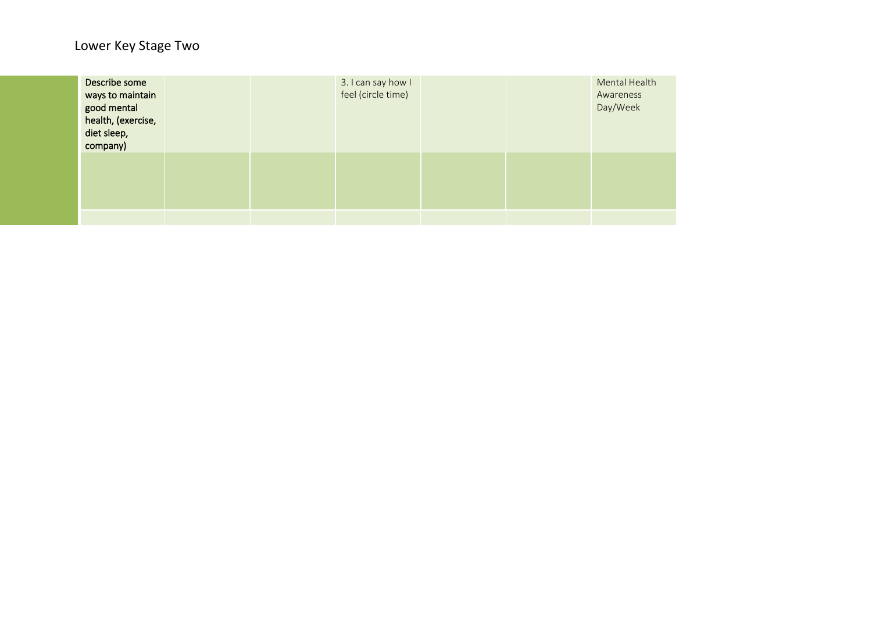| Describe some<br>ways to maintain<br>good mental<br>health, (exercise,<br>diet sleep,<br>company) |  | 3. I can say how I<br>feel (circle time) |  | Mental Health<br>Awareness<br>Day/Week |
|---------------------------------------------------------------------------------------------------|--|------------------------------------------|--|----------------------------------------|
|                                                                                                   |  |                                          |  |                                        |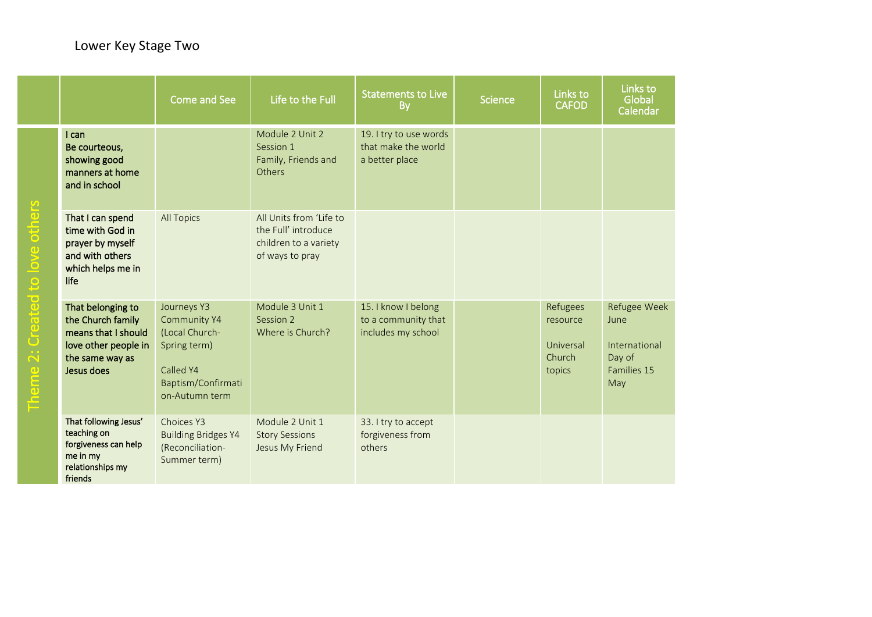|                                                                                                                        |                                                                                                                        | Come and See                                                                                                       | Life to the Full                                                                           | <b>Statements to Live</b><br><b>By</b>                           | <b>Science</b> | Links to<br><b>CAFOD</b>                              | Links to<br>Global<br>Calendar                                        |
|------------------------------------------------------------------------------------------------------------------------|------------------------------------------------------------------------------------------------------------------------|--------------------------------------------------------------------------------------------------------------------|--------------------------------------------------------------------------------------------|------------------------------------------------------------------|----------------|-------------------------------------------------------|-----------------------------------------------------------------------|
| $\overline{\omega}$<br>$\overline{\overline{6}}$<br><b>GD</b><br>$\Box$<br>9<br>Created<br>$\curvearrowright$<br>Theme | I can<br>Be courteous,<br>showing good<br>manners at home<br>and in school                                             |                                                                                                                    | Module 2 Unit 2<br>Session 1<br>Family, Friends and<br>Others                              | 19. I try to use words<br>that make the world<br>a better place  |                |                                                       |                                                                       |
|                                                                                                                        | That I can spend<br>time with God in<br>prayer by myself<br>and with others<br>which helps me in<br>life               | <b>All Topics</b>                                                                                                  | All Units from 'Life to<br>the Full' introduce<br>children to a variety<br>of ways to pray |                                                                  |                |                                                       |                                                                       |
|                                                                                                                        | That belonging to<br>the Church family<br>means that I should<br>love other people in<br>the same way as<br>Jesus does | Journeys Y3<br>Community Y4<br>(Local Church-<br>Spring term)<br>Called Y4<br>Baptism/Confirmati<br>on-Autumn term | Module 3 Unit 1<br>Session 2<br>Where is Church?                                           | 15. I know I belong<br>to a community that<br>includes my school |                | Refugees<br>resource<br>Universal<br>Church<br>topics | Refugee Week<br>June<br>International<br>Day of<br>Families 15<br>May |
|                                                                                                                        | That following Jesus'<br>teaching on<br>forgiveness can help<br>me in my<br>relationships my<br>friends                | Choices Y3<br><b>Building Bridges Y4</b><br>(Reconciliation-<br>Summer term)                                       | Module 2 Unit 1<br><b>Story Sessions</b><br>Jesus My Friend                                | 33. I try to accept<br>forgiveness from<br>others                |                |                                                       |                                                                       |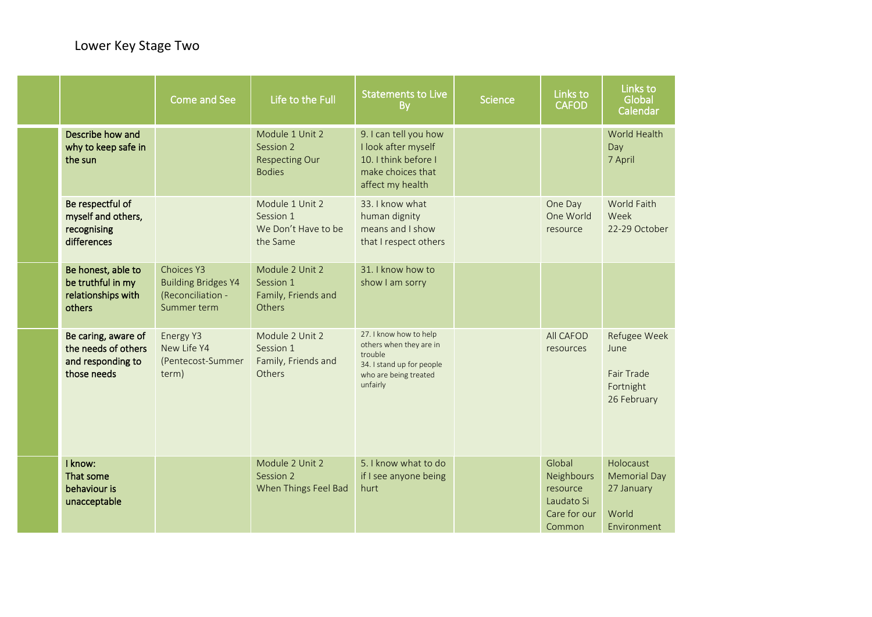|                                                                                | <b>Come and See</b>                                                          | Life to the Full                                                       | <b>Statements to Live</b><br><b>By</b>                                                                                         | <b>Science</b> | Links to<br><b>CAFOD</b>                                                 | Links to<br>Global<br>Calendar                                         |
|--------------------------------------------------------------------------------|------------------------------------------------------------------------------|------------------------------------------------------------------------|--------------------------------------------------------------------------------------------------------------------------------|----------------|--------------------------------------------------------------------------|------------------------------------------------------------------------|
| Describe how and<br>why to keep safe in<br>the sun                             |                                                                              | Module 1 Unit 2<br>Session 2<br><b>Respecting Our</b><br><b>Bodies</b> | 9. I can tell you how<br>I look after myself<br>10. I think before I<br>make choices that<br>affect my health                  |                |                                                                          | World Health<br>Day<br>7 April                                         |
| Be respectful of<br>myself and others,<br>recognising<br>differences           |                                                                              | Module 1 Unit 2<br>Session 1<br>We Don't Have to be<br>the Same        | 33. I know what<br>human dignity<br>means and I show<br>that I respect others                                                  |                | One Day<br>One World<br>resource                                         | World Faith<br>Week<br>22-29 October                                   |
| Be honest, able to<br>be truthful in my<br>relationships with<br>others        | Choices Y3<br><b>Building Bridges Y4</b><br>(Reconciliation -<br>Summer term | Module 2 Unit 2<br>Session 1<br>Family, Friends and<br>Others          | 31. I know how to<br>show I am sorry                                                                                           |                |                                                                          |                                                                        |
| Be caring, aware of<br>the needs of others<br>and responding to<br>those needs | Energy Y3<br>New Life Y4<br>(Pentecost-Summer<br>term)                       | Module 2 Unit 2<br>Session 1<br>Family, Friends and<br>Others          | 27. I know how to help<br>others when they are in<br>trouble<br>34. I stand up for people<br>who are being treated<br>unfairly |                | <b>All CAFOD</b><br>resources                                            | Refugee Week<br>June<br>Fair Trade<br>Fortnight<br>26 February         |
| I know:<br>That some<br>behaviour is<br>unacceptable                           |                                                                              | Module 2 Unit 2<br>Session 2<br>When Things Feel Bad                   | 5. I know what to do<br>if I see anyone being<br>hurt                                                                          |                | Global<br>Neighbours<br>resource<br>Laudato Si<br>Care for our<br>Common | Holocaust<br><b>Memorial Day</b><br>27 January<br>World<br>Environment |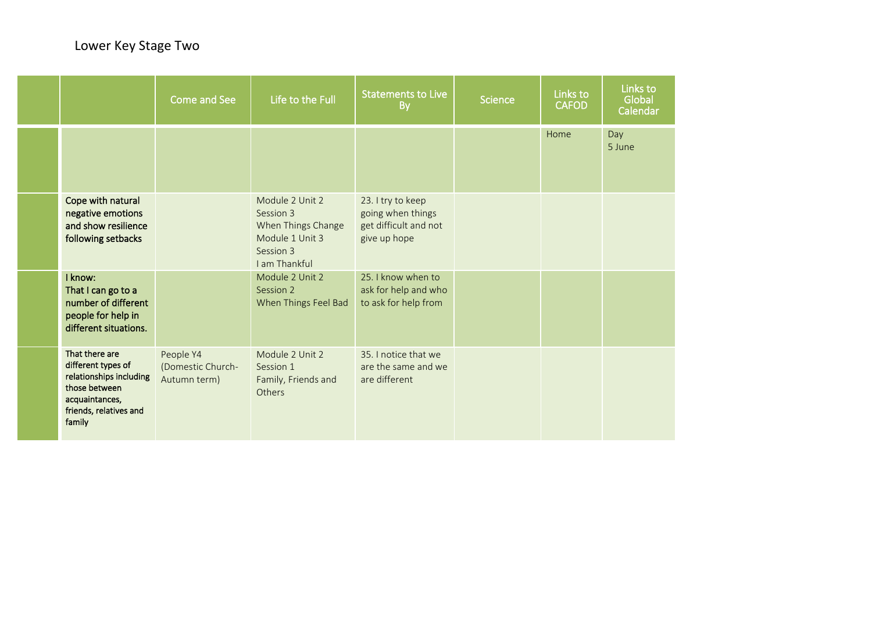|                                                                                                                                        | Come and See                                   | Life to the Full                                                                                    | <b>Statements to Live</b><br><b>By</b>                                          | <b>Science</b> | Links to<br><b>CAFOD</b> | Links to<br>Global<br>Calendar |
|----------------------------------------------------------------------------------------------------------------------------------------|------------------------------------------------|-----------------------------------------------------------------------------------------------------|---------------------------------------------------------------------------------|----------------|--------------------------|--------------------------------|
|                                                                                                                                        |                                                |                                                                                                     |                                                                                 |                | Home                     | Day<br>5 June                  |
| Cope with natural<br>negative emotions<br>and show resilience<br>following setbacks                                                    |                                                | Module 2 Unit 2<br>Session 3<br>When Things Change<br>Module 1 Unit 3<br>Session 3<br>I am Thankful | 23. I try to keep<br>going when things<br>get difficult and not<br>give up hope |                |                          |                                |
| I know:<br>That I can go to a<br>number of different<br>people for help in<br>different situations.                                    |                                                | Module 2 Unit 2<br>Session 2<br>When Things Feel Bad                                                | 25. I know when to<br>ask for help and who<br>to ask for help from              |                |                          |                                |
| That there are<br>different types of<br>relationships including<br>those between<br>acquaintances,<br>friends, relatives and<br>family | People Y4<br>(Domestic Church-<br>Autumn term) | Module 2 Unit 2<br>Session 1<br>Family, Friends and<br>Others                                       | 35. I notice that we<br>are the same and we<br>are different                    |                |                          |                                |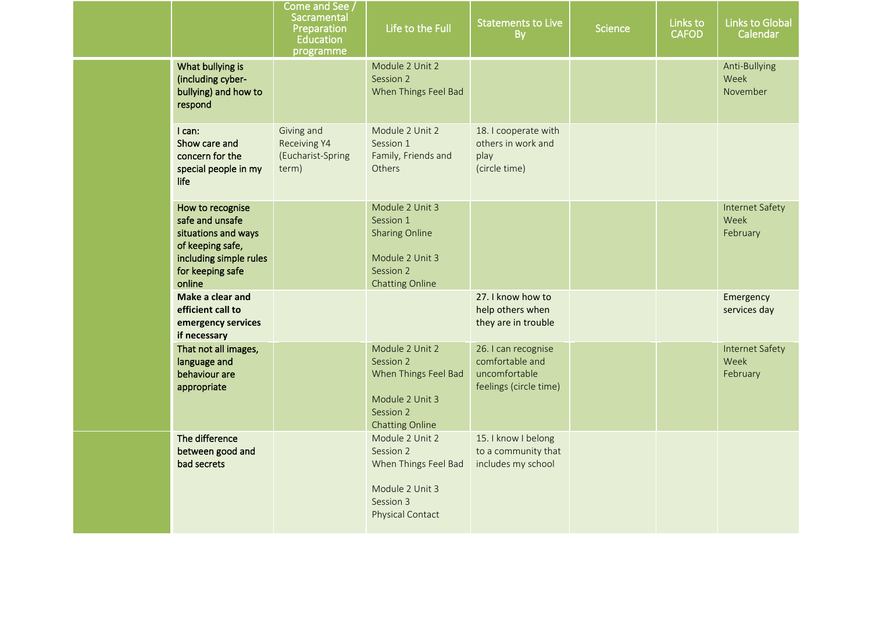|                                                                                                                                        | Come and See <sub>/</sub><br>Sacramental<br>Preparation<br>Education<br>programme | Life to the Full                                                                                                | <b>Statements to Live</b><br><b>By</b>                                            | <b>Science</b> | Links to<br><b>CAFOD</b> | <b>Links to Global</b><br>Calendar         |
|----------------------------------------------------------------------------------------------------------------------------------------|-----------------------------------------------------------------------------------|-----------------------------------------------------------------------------------------------------------------|-----------------------------------------------------------------------------------|----------------|--------------------------|--------------------------------------------|
| What bullying is<br>(including cyber-<br>bullying) and how to<br>respond                                                               |                                                                                   | Module 2 Unit 2<br>Session 2<br>When Things Feel Bad                                                            |                                                                                   |                |                          | Anti-Bullying<br>Week<br>November          |
| I can:<br>Show care and<br>concern for the<br>special people in my<br>life                                                             | Giving and<br>Receiving Y4<br>(Eucharist-Spring<br>term)                          | Module 2 Unit 2<br>Session 1<br>Family, Friends and<br><b>Others</b>                                            | 18. I cooperate with<br>others in work and<br>play<br>(circle time)               |                |                          |                                            |
| How to recognise<br>safe and unsafe<br>situations and ways<br>of keeping safe,<br>including simple rules<br>for keeping safe<br>online |                                                                                   | Module 2 Unit 3<br>Session 1<br><b>Sharing Online</b><br>Module 2 Unit 3<br>Session 2<br><b>Chatting Online</b> |                                                                                   |                |                          | Internet Safety<br>Week<br>February        |
| Make a clear and<br>efficient call to<br>emergency services<br>if necessary                                                            |                                                                                   |                                                                                                                 | 27. I know how to<br>help others when<br>they are in trouble                      |                |                          | Emergency<br>services day                  |
| That not all images,<br>language and<br>behaviour are<br>appropriate                                                                   |                                                                                   | Module 2 Unit 2<br>Session 2<br>When Things Feel Bad<br>Module 2 Unit 3<br>Session 2<br><b>Chatting Online</b>  | 26. I can recognise<br>comfortable and<br>uncomfortable<br>feelings (circle time) |                |                          | <b>Internet Safety</b><br>Week<br>February |
| The difference<br>between good and<br>bad secrets                                                                                      |                                                                                   | Module 2 Unit 2<br>Session 2<br>When Things Feel Bad<br>Module 2 Unit 3<br>Session 3<br>Physical Contact        | 15. I know I belong<br>to a community that<br>includes my school                  |                |                          |                                            |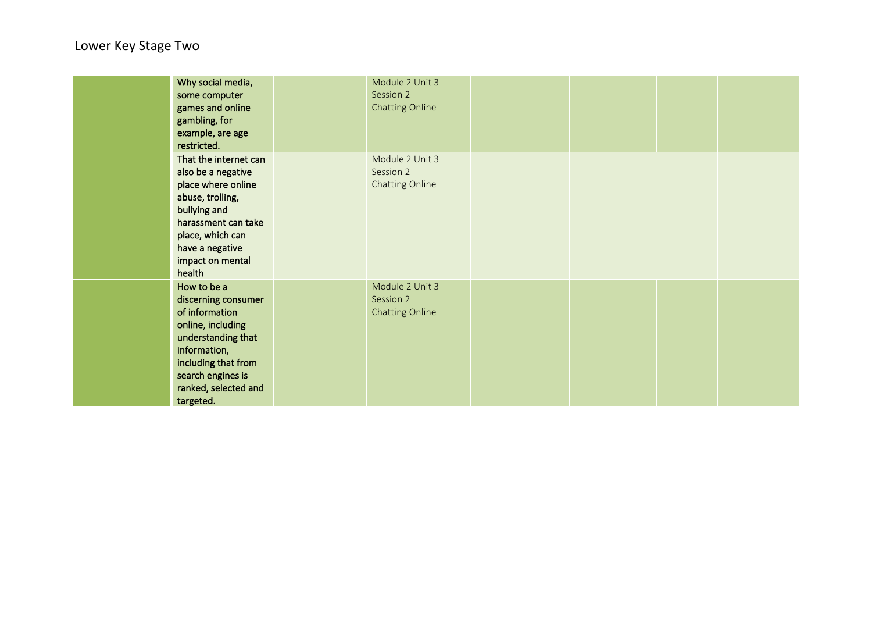| Why social media,<br>some computer<br>games and online<br>gambling, for<br>example, are age<br>restricted.                                                                                        | Module 2 Unit 3<br>Session 2<br><b>Chatting Online</b> |  |  |
|---------------------------------------------------------------------------------------------------------------------------------------------------------------------------------------------------|--------------------------------------------------------|--|--|
| That the internet can<br>also be a negative<br>place where online<br>abuse, trolling,<br>bullying and<br>harassment can take<br>place, which can<br>have a negative<br>impact on mental<br>health | Module 2 Unit 3<br>Session 2<br>Chatting Online        |  |  |
| How to be a<br>discerning consumer<br>of information<br>online, including<br>understanding that<br>information,<br>including that from<br>search engines is<br>ranked, selected and<br>targeted.  | Module 2 Unit 3<br>Session 2<br><b>Chatting Online</b> |  |  |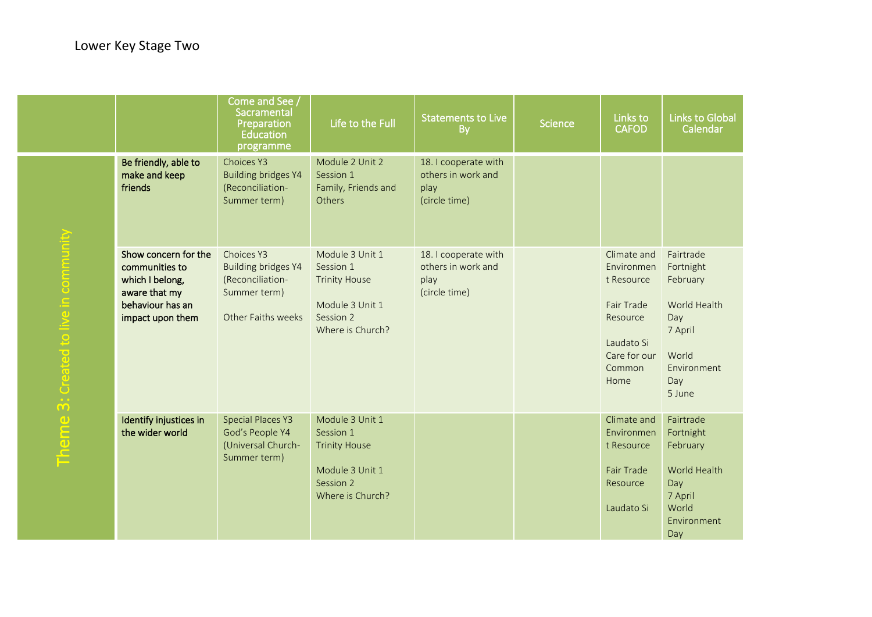|                                 |                                                                                                                    | Come and See /<br>Sacramental<br>Preparation<br><b>Education</b><br>programme                      | Life to the Full                                                                                         | <b>Statements to Live</b><br>By                                     | <b>Science</b> | Links to<br><b>CAFOD</b>                                                                                          | <b>Links to Global</b><br>Calendar                                                                            |
|---------------------------------|--------------------------------------------------------------------------------------------------------------------|----------------------------------------------------------------------------------------------------|----------------------------------------------------------------------------------------------------------|---------------------------------------------------------------------|----------------|-------------------------------------------------------------------------------------------------------------------|---------------------------------------------------------------------------------------------------------------|
|                                 | Be friendly, able to<br>make and keep<br>friends                                                                   | Choices Y3<br><b>Building bridges Y4</b><br>(Reconciliation-<br>Summer term)                       | Module 2 Unit 2<br>Session 1<br>Family, Friends and<br>Others                                            | 18. I cooperate with<br>others in work and<br>play<br>(circle time) |                |                                                                                                                   |                                                                                                               |
| 3: Created to live in community | Show concern for the<br>communities to<br>which I belong,<br>aware that my<br>behaviour has an<br>impact upon them | Choices Y3<br><b>Building bridges Y4</b><br>(Reconciliation-<br>Summer term)<br>Other Faiths weeks | Module 3 Unit 1<br>Session 1<br><b>Trinity House</b><br>Module 3 Unit 1<br>Session 2<br>Where is Church? | 18. I cooperate with<br>others in work and<br>play<br>(circle time) |                | Climate and<br>Environmen<br>t Resource<br>Fair Trade<br>Resource<br>Laudato Si<br>Care for our<br>Common<br>Home | Fairtrade<br>Fortnight<br>February<br>World Health<br>Day<br>7 April<br>World<br>Environment<br>Day<br>5 June |
| Theme                           | Identify injustices in<br>the wider world                                                                          | <b>Special Places Y3</b><br>God's People Y4<br>(Universal Church-<br>Summer term)                  | Module 3 Unit 1<br>Session 1<br><b>Trinity House</b><br>Module 3 Unit 1<br>Session 2<br>Where is Church? |                                                                     |                | Climate and<br>Environmen<br>t Resource<br><b>Fair Trade</b><br>Resource<br>Laudato Si                            | Fairtrade<br>Fortnight<br>February<br>World Health<br>Day<br>7 April<br>World<br>Environment<br>Day           |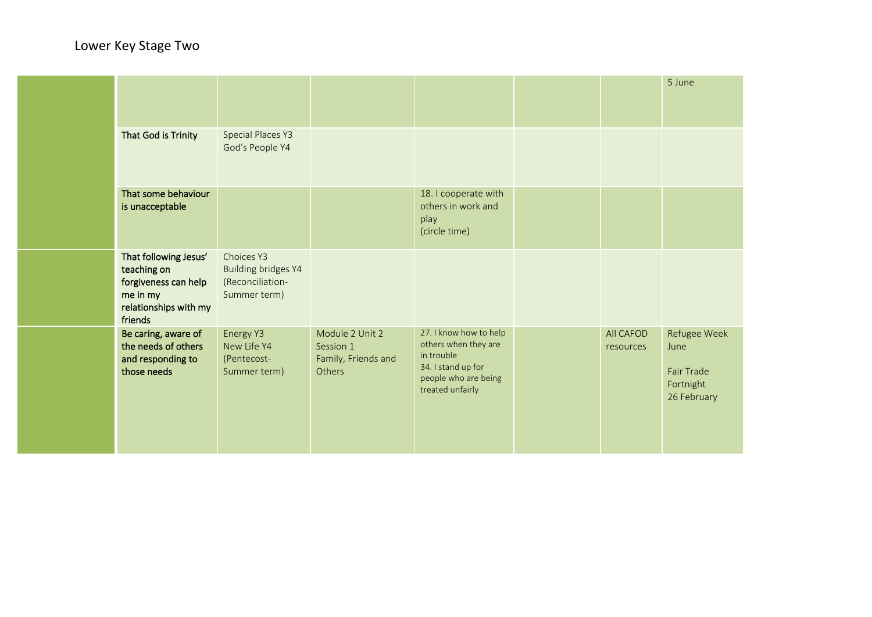|                                                                                                              |                                                                              |                                                               |                                                                                                                                |                        | 5 June                                                                |
|--------------------------------------------------------------------------------------------------------------|------------------------------------------------------------------------------|---------------------------------------------------------------|--------------------------------------------------------------------------------------------------------------------------------|------------------------|-----------------------------------------------------------------------|
| That God is Trinity                                                                                          | <b>Special Places Y3</b><br>God's People Y4                                  |                                                               |                                                                                                                                |                        |                                                                       |
| That some behaviour<br>is unacceptable                                                                       |                                                                              |                                                               | 18. I cooperate with<br>others in work and<br>play<br>(circle time)                                                            |                        |                                                                       |
| That following Jesus'<br>teaching on<br>forgiveness can help<br>me in my<br>relationships with my<br>friends | Choices Y3<br><b>Building bridges Y4</b><br>(Reconciliation-<br>Summer term) |                                                               |                                                                                                                                |                        |                                                                       |
| Be caring, aware of<br>the needs of others<br>and responding to<br>those needs                               | Energy Y3<br>New Life Y4<br>(Pentecost-<br>Summer term)                      | Module 2 Unit 2<br>Session 1<br>Family, Friends and<br>Others | 27. I know how to help<br>others when they are<br>in trouble<br>34. I stand up for<br>people who are being<br>treated unfairly | All CAFOD<br>resources | Refugee Week<br>June<br><b>Fair Trade</b><br>Fortnight<br>26 February |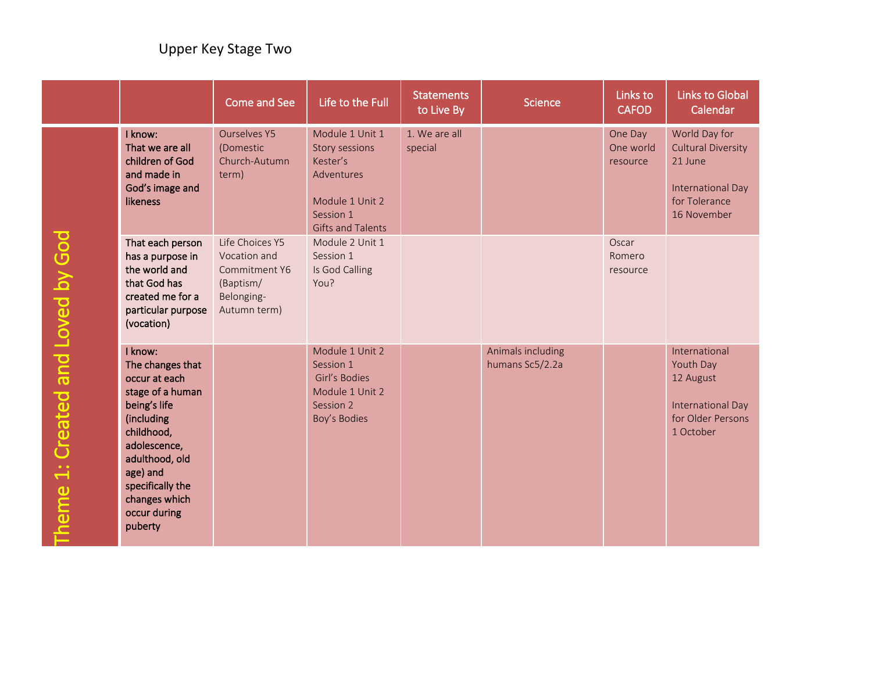|                                   |                                                                                                                                                                                                                            | <b>Come and See</b>                                                                         | Life to the Full                                                                                                        | <b>Statements</b><br>to Live By | <b>Science</b>                       | Links to<br><b>CAFOD</b>         | Links to Global<br>Calendar                                                                                |
|-----------------------------------|----------------------------------------------------------------------------------------------------------------------------------------------------------------------------------------------------------------------------|---------------------------------------------------------------------------------------------|-------------------------------------------------------------------------------------------------------------------------|---------------------------------|--------------------------------------|----------------------------------|------------------------------------------------------------------------------------------------------------|
|                                   | I know:<br>That we are all<br>children of God<br>and made in<br>God's image and<br>likeness                                                                                                                                | <b>Ourselves Y5</b><br>(Domestic<br>Church-Autumn<br>term)                                  | Module 1 Unit 1<br>Story sessions<br>Kester's<br>Adventures<br>Module 1 Unit 2<br>Session 1<br><b>Gifts and Talents</b> | 1. We are all<br>special        |                                      | One Day<br>One world<br>resource | World Day for<br><b>Cultural Diversity</b><br>21 June<br>International Day<br>for Tolerance<br>16 November |
|                                   | That each person<br>has a purpose in<br>the world and<br>that God has<br>created me for a<br>particular purpose<br>(vocation)                                                                                              | Life Choices Y5<br>Vocation and<br>Commitment Y6<br>(Baptism/<br>Belonging-<br>Autumn term) | Module 2 Unit 1<br>Session 1<br>Is God Calling<br>You?                                                                  |                                 |                                      | Oscar<br>Romero<br>resource      |                                                                                                            |
| Theme 1: Created and Loved by God | I know:<br>The changes that<br>occur at each<br>stage of a human<br>being's life<br>(including<br>childhood,<br>adolescence,<br>adulthood, old<br>age) and<br>specifically the<br>changes which<br>occur during<br>puberty |                                                                                             | Module 1 Unit 2<br>Session 1<br>Girl's Bodies<br>Module 1 Unit 2<br>Session 2<br>Boy's Bodies                           |                                 | Animals including<br>humans Sc5/2.2a |                                  | International<br>Youth Day<br>12 August<br>International Day<br>for Older Persons<br>1 October             |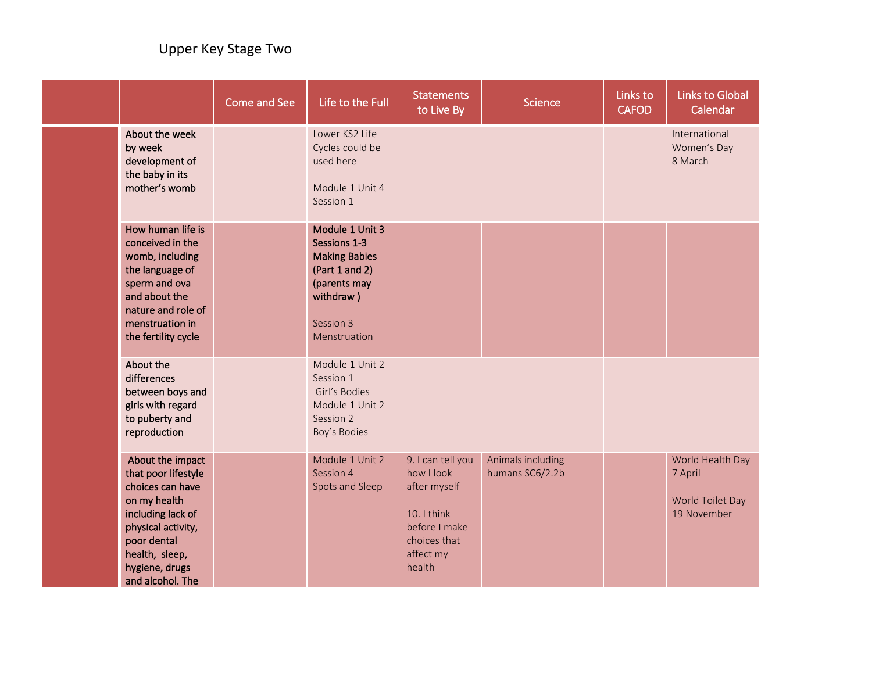|  |                                                                                                                                                                                               | <b>Come and See</b> | Life to the Full                                                                                                                    | <b>Statements</b><br>to Live By                                                                                        | <b>Science</b>                       | Links to<br><b>CAFOD</b> | <b>Links to Global</b><br>Calendar                             |
|--|-----------------------------------------------------------------------------------------------------------------------------------------------------------------------------------------------|---------------------|-------------------------------------------------------------------------------------------------------------------------------------|------------------------------------------------------------------------------------------------------------------------|--------------------------------------|--------------------------|----------------------------------------------------------------|
|  | About the week<br>by week<br>development of<br>the baby in its<br>mother's womb                                                                                                               |                     | Lower KS2 Life<br>Cycles could be<br>used here<br>Module 1 Unit 4<br>Session 1                                                      |                                                                                                                        |                                      |                          | International<br>Women's Day<br>8 March                        |
|  | How human life is<br>conceived in the<br>womb, including<br>the language of<br>sperm and ova<br>and about the<br>nature and role of<br>menstruation in<br>the fertility cycle                 |                     | Module 1 Unit 3<br>Sessions 1-3<br><b>Making Babies</b><br>(Part 1 and 2)<br>(parents may<br>withdraw)<br>Session 3<br>Menstruation |                                                                                                                        |                                      |                          |                                                                |
|  | About the<br>differences<br>between boys and<br>girls with regard<br>to puberty and<br>reproduction                                                                                           |                     | Module 1 Unit 2<br>Session 1<br>Girl's Bodies<br>Module 1 Unit 2<br>Session 2<br>Boy's Bodies                                       |                                                                                                                        |                                      |                          |                                                                |
|  | About the impact<br>that poor lifestyle<br>choices can have<br>on my health<br>including lack of<br>physical activity,<br>poor dental<br>health, sleep,<br>hygiene, drugs<br>and alcohol. The |                     | Module 1 Unit 2<br>Session 4<br>Spots and Sleep                                                                                     | 9. I can tell you<br>how I look<br>after myself<br>10. I think<br>before I make<br>choices that<br>affect my<br>health | Animals including<br>humans SC6/2.2b |                          | World Health Day<br>7 April<br>World Toilet Day<br>19 November |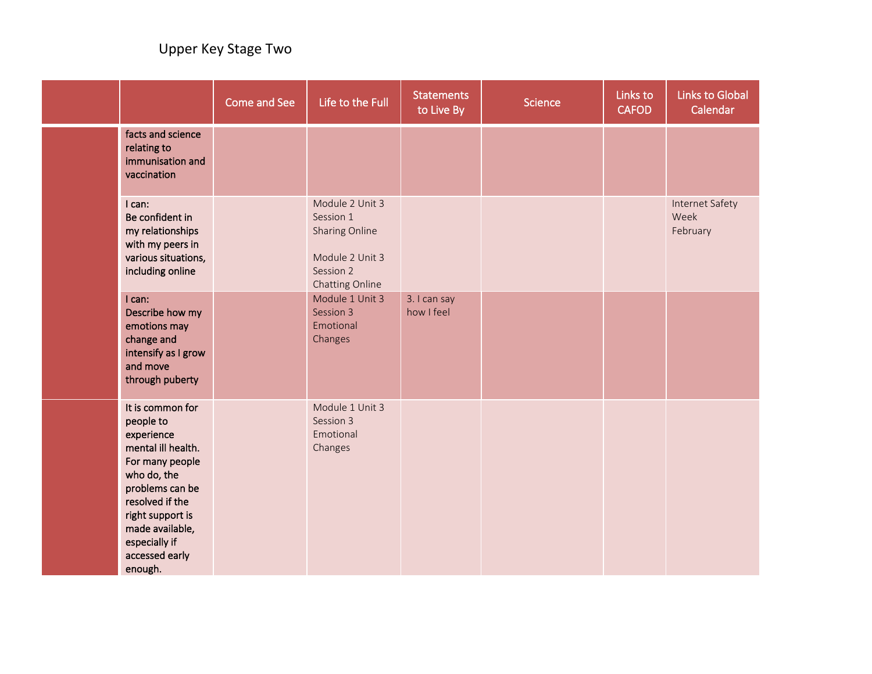|                                                                                                                                                                                                                                | Come and See | Life to the Full                                                                                  | <b>Statements</b><br>to Live By | <b>Science</b> | Links to<br><b>CAFOD</b> | <b>Links to Global</b><br>Calendar  |
|--------------------------------------------------------------------------------------------------------------------------------------------------------------------------------------------------------------------------------|--------------|---------------------------------------------------------------------------------------------------|---------------------------------|----------------|--------------------------|-------------------------------------|
| facts and science<br>relating to<br>immunisation and<br>vaccination                                                                                                                                                            |              |                                                                                                   |                                 |                |                          |                                     |
| I can:<br>Be confident in<br>my relationships<br>with my peers in<br>various situations,<br>including online                                                                                                                   |              | Module 2 Unit 3<br>Session 1<br>Sharing Online<br>Module 2 Unit 3<br>Session 2<br>Chatting Online |                                 |                |                          | Internet Safety<br>Week<br>February |
| I can:<br>Describe how my<br>emotions may<br>change and<br>intensify as I grow<br>and move<br>through puberty                                                                                                                  |              | Module 1 Unit 3<br>Session 3<br>Emotional<br>Changes                                              | 3. I can say<br>how I feel      |                |                          |                                     |
| It is common for<br>people to<br>experience<br>mental ill health.<br>For many people<br>who do, the<br>problems can be<br>resolved if the<br>right support is<br>made available,<br>especially if<br>accessed early<br>enough. |              | Module 1 Unit 3<br>Session 3<br>Emotional<br>Changes                                              |                                 |                |                          |                                     |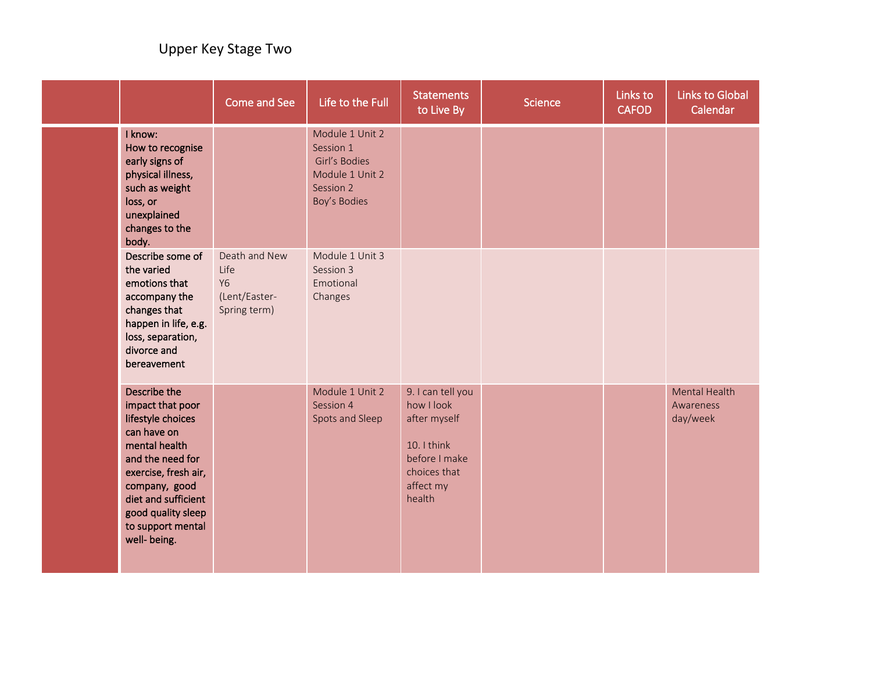|  |                                                                                                                                                                                                                                      | Come and See                                                        | Life to the Full                                                                              | <b>Statements</b><br>to Live By                                                                                        | <b>Science</b> | Links to<br><b>CAFOD</b> | <b>Links to Global</b><br>Calendar            |
|--|--------------------------------------------------------------------------------------------------------------------------------------------------------------------------------------------------------------------------------------|---------------------------------------------------------------------|-----------------------------------------------------------------------------------------------|------------------------------------------------------------------------------------------------------------------------|----------------|--------------------------|-----------------------------------------------|
|  | I know:<br>How to recognise<br>early signs of<br>physical illness,<br>such as weight<br>loss, or<br>unexplained<br>changes to the<br>body.                                                                                           |                                                                     | Module 1 Unit 2<br>Session 1<br>Girl's Bodies<br>Module 1 Unit 2<br>Session 2<br>Boy's Bodies |                                                                                                                        |                |                          |                                               |
|  | Describe some of<br>the varied<br>emotions that<br>accompany the<br>changes that<br>happen in life, e.g.<br>loss, separation,<br>divorce and<br>bereavement                                                                          | Death and New<br>Life<br><b>Y6</b><br>(Lent/Easter-<br>Spring term) | Module 1 Unit 3<br>Session 3<br>Emotional<br>Changes                                          |                                                                                                                        |                |                          |                                               |
|  | Describe the<br>impact that poor<br>lifestyle choices<br>can have on<br>mental health<br>and the need for<br>exercise, fresh air,<br>company, good<br>diet and sufficient<br>good quality sleep<br>to support mental<br>well- being. |                                                                     | Module 1 Unit 2<br>Session 4<br>Spots and Sleep                                               | 9. I can tell you<br>how I look<br>after myself<br>10. I think<br>before I make<br>choices that<br>affect my<br>health |                |                          | <b>Mental Health</b><br>Awareness<br>day/week |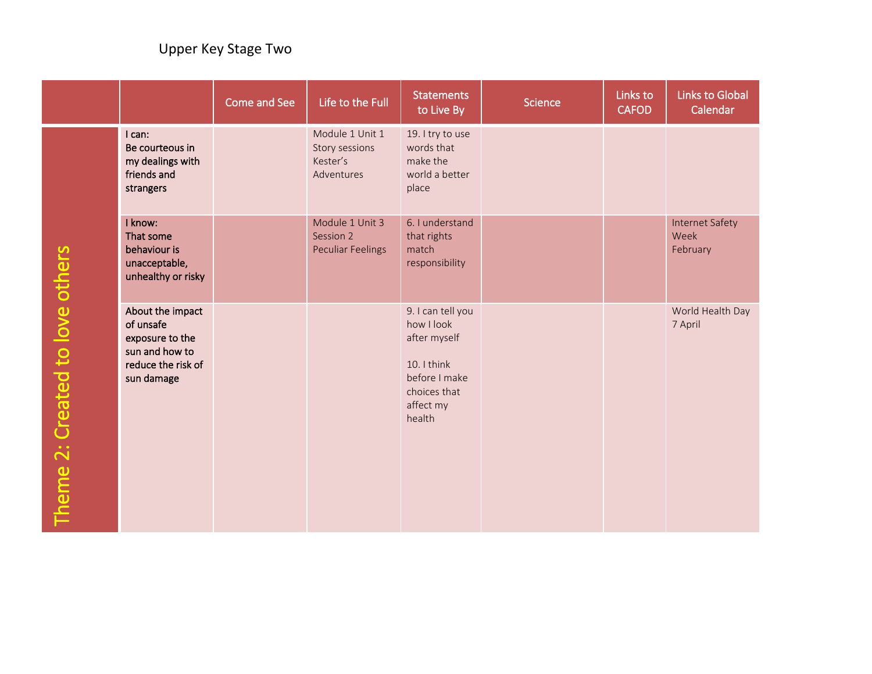|                                 |                                                                                                        | Come and See | Life to the Full                                            | <b>Statements</b><br>to Live By                                                                                        | <b>Science</b> | Links to<br><b>CAFOD</b> | <b>Links to Global</b><br>Calendar         |
|---------------------------------|--------------------------------------------------------------------------------------------------------|--------------|-------------------------------------------------------------|------------------------------------------------------------------------------------------------------------------------|----------------|--------------------------|--------------------------------------------|
|                                 | I can:<br>Be courteous in<br>my dealings with<br>friends and<br>strangers                              |              | Module 1 Unit 1<br>Story sessions<br>Kester's<br>Adventures | 19. I try to use<br>words that<br>make the<br>world a better<br>place                                                  |                |                          |                                            |
|                                 | I know:<br>That some<br>behaviour is<br>unacceptable,<br>unhealthy or risky                            |              | Module 1 Unit 3<br>Session 2<br><b>Peculiar Feelings</b>    | 6. I understand<br>that rights<br>match<br>responsibility                                                              |                |                          | <b>Internet Safety</b><br>Week<br>February |
| Theme 2: Created to love others | About the impact<br>of unsafe<br>exposure to the<br>sun and how to<br>reduce the risk of<br>sun damage |              |                                                             | 9. I can tell you<br>how I look<br>after myself<br>10. I think<br>before I make<br>choices that<br>affect my<br>health |                |                          | World Health Day<br>7 April                |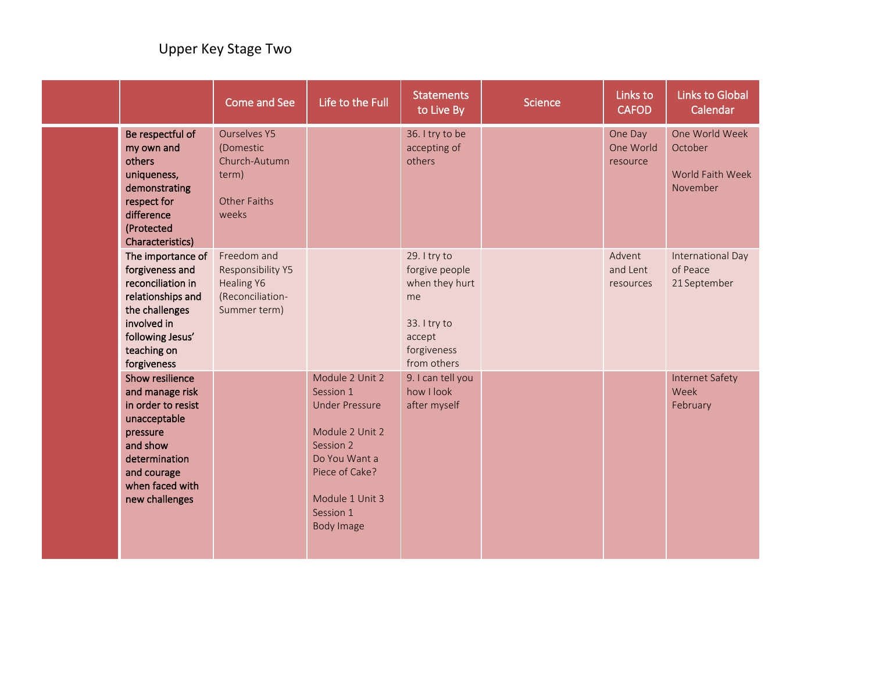|                                                                                                                                                                       | <b>Come and See</b>                                                                        | Life to the Full                                                                                                                                                              | <b>Statements</b><br>to Live By                                                                                | <b>Science</b> | Links to<br><b>CAFOD</b>         | <b>Links to Global</b><br>Calendar                        |
|-----------------------------------------------------------------------------------------------------------------------------------------------------------------------|--------------------------------------------------------------------------------------------|-------------------------------------------------------------------------------------------------------------------------------------------------------------------------------|----------------------------------------------------------------------------------------------------------------|----------------|----------------------------------|-----------------------------------------------------------|
| Be respectful of<br>my own and<br>others<br>uniqueness,<br>demonstrating<br>respect for<br>difference<br>(Protected<br>Characteristics)                               | <b>Ourselves Y5</b><br>(Domestic<br>Church-Autumn<br>term)<br><b>Other Faiths</b><br>weeks |                                                                                                                                                                               | 36. I try to be<br>accepting of<br>others                                                                      |                | One Day<br>One World<br>resource | One World Week<br>October<br>World Faith Week<br>November |
| The importance of<br>forgiveness and<br>reconciliation in<br>relationships and<br>the challenges<br>involved in<br>following Jesus'<br>teaching on<br>forgiveness     | Freedom and<br>Responsibility Y5<br><b>Healing Y6</b><br>(Reconciliation-<br>Summer term)  |                                                                                                                                                                               | 29. I try to<br>forgive people<br>when they hurt<br>me<br>33. I try to<br>accept<br>forgiveness<br>from others |                | Advent<br>and Lent<br>resources  | International Day<br>of Peace<br>21 September             |
| Show resilience<br>and manage risk<br>in order to resist<br>unacceptable<br>pressure<br>and show<br>determination<br>and courage<br>when faced with<br>new challenges |                                                                                            | Module 2 Unit 2<br>Session 1<br><b>Under Pressure</b><br>Module 2 Unit 2<br>Session 2<br>Do You Want a<br>Piece of Cake?<br>Module 1 Unit 3<br>Session 1<br><b>Body Image</b> | 9. I can tell you<br>how I look<br>after myself                                                                |                |                                  | <b>Internet Safety</b><br>Week<br>February                |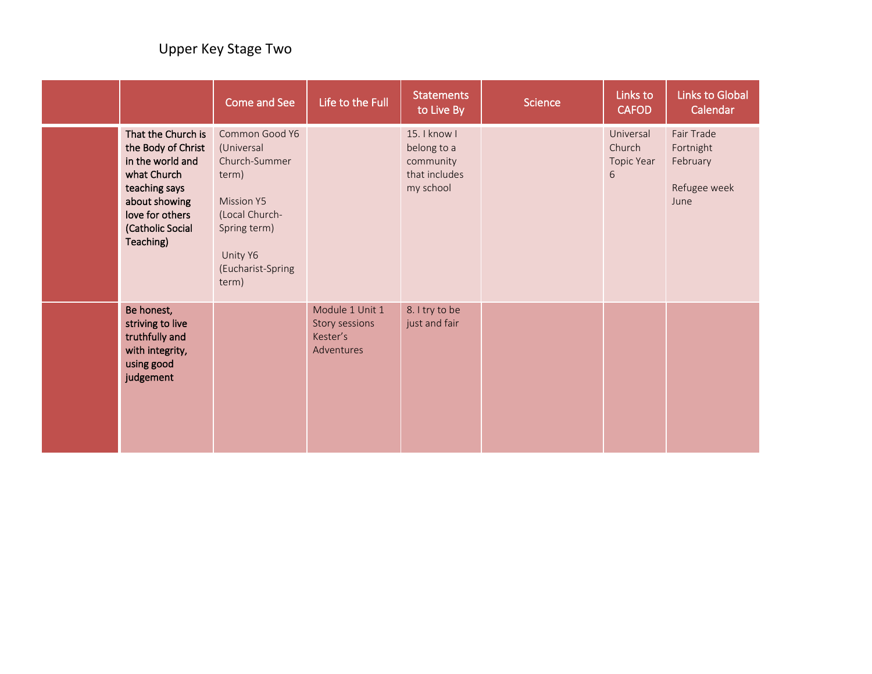|                                                                                                                                                                   | Come and See                                                                                                                                            | Life to the Full                                            | <b>Statements</b><br>to Live By                                        | Science | Links to<br><b>CAFOD</b>               | <b>Links to Global</b><br>Calendar                          |
|-------------------------------------------------------------------------------------------------------------------------------------------------------------------|---------------------------------------------------------------------------------------------------------------------------------------------------------|-------------------------------------------------------------|------------------------------------------------------------------------|---------|----------------------------------------|-------------------------------------------------------------|
| That the Church is<br>the Body of Christ<br>in the world and<br>what Church<br>teaching says<br>about showing<br>love for others<br>(Catholic Social<br>Teaching) | Common Good Y6<br>(Universal<br>Church-Summer<br>term)<br><b>Mission Y5</b><br>(Local Church-<br>Spring term)<br>Unity Y6<br>(Eucharist-Spring<br>term) |                                                             | 15. I know I<br>belong to a<br>community<br>that includes<br>my school |         | Universal<br>Church<br>Topic Year<br>6 | Fair Trade<br>Fortnight<br>February<br>Refugee week<br>June |
| Be honest,<br>striving to live<br>truthfully and<br>with integrity,<br>using good<br>judgement                                                                    |                                                                                                                                                         | Module 1 Unit 1<br>Story sessions<br>Kester's<br>Adventures | 8. I try to be<br>just and fair                                        |         |                                        |                                                             |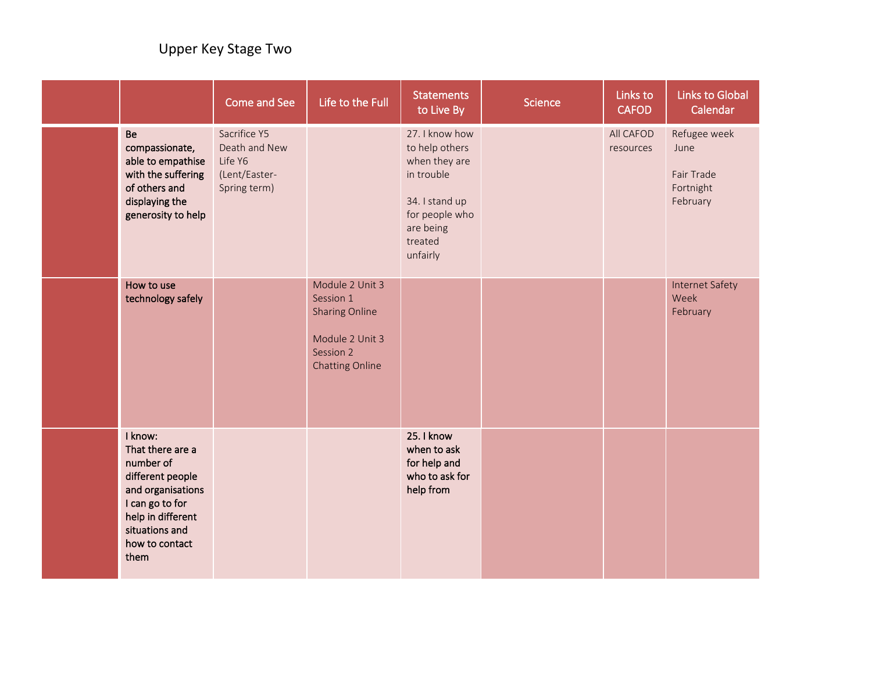|                                                                                                                                                                       | Come and See                                                              | Life to the Full                                                                                                | <b>Statements</b><br>to Live By                                                                                                         | <b>Science</b> | Links to<br><b>CAFOD</b> | <b>Links to Global</b><br>Calendar                          |
|-----------------------------------------------------------------------------------------------------------------------------------------------------------------------|---------------------------------------------------------------------------|-----------------------------------------------------------------------------------------------------------------|-----------------------------------------------------------------------------------------------------------------------------------------|----------------|--------------------------|-------------------------------------------------------------|
| <b>Be</b><br>compassionate,<br>able to empathise<br>with the suffering<br>of others and<br>displaying the<br>generosity to help                                       | Sacrifice Y5<br>Death and New<br>Life Y6<br>(Lent/Easter-<br>Spring term) |                                                                                                                 | 27. I know how<br>to help others<br>when they are<br>in trouble<br>34. I stand up<br>for people who<br>are being<br>treated<br>unfairly |                | All CAFOD<br>resources   | Refugee week<br>June<br>Fair Trade<br>Fortnight<br>February |
| How to use<br>technology safely                                                                                                                                       |                                                                           | Module 2 Unit 3<br>Session 1<br><b>Sharing Online</b><br>Module 2 Unit 3<br>Session 2<br><b>Chatting Online</b> |                                                                                                                                         |                |                          | <b>Internet Safety</b><br>Week<br>February                  |
| I know:<br>That there are a<br>number of<br>different people<br>and organisations<br>I can go to for<br>help in different<br>situations and<br>how to contact<br>them |                                                                           |                                                                                                                 | 25. I know<br>when to ask<br>for help and<br>who to ask for<br>help from                                                                |                |                          |                                                             |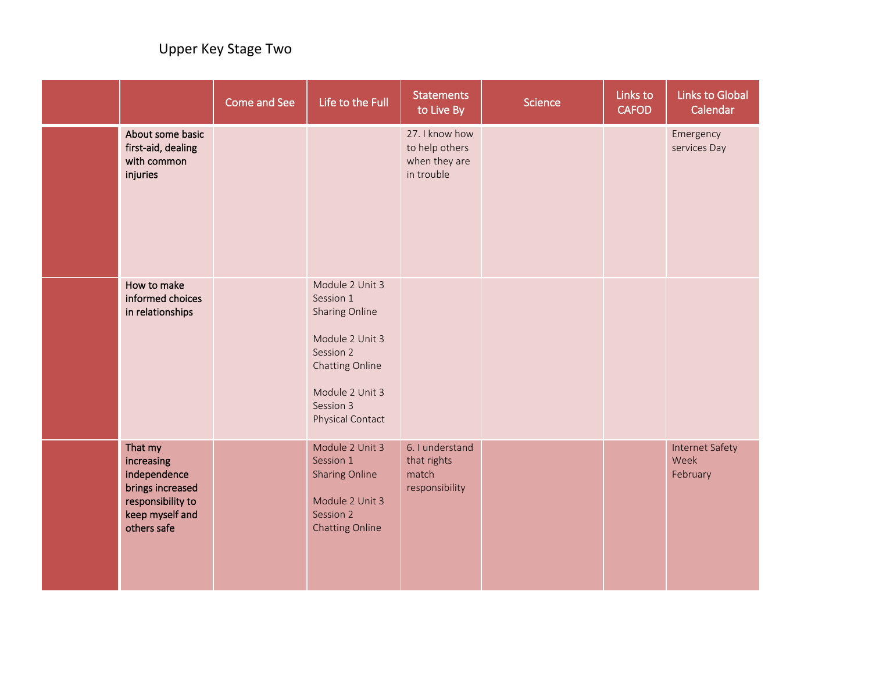|                                                                                                                  | Come and See | Life to the Full                                                                                                                                      | <b>Statements</b><br>to Live By                                 | Science | Links to<br><b>CAFOD</b> | <b>Links to Global</b><br>Calendar         |
|------------------------------------------------------------------------------------------------------------------|--------------|-------------------------------------------------------------------------------------------------------------------------------------------------------|-----------------------------------------------------------------|---------|--------------------------|--------------------------------------------|
| About some basic<br>first-aid, dealing<br>with common<br>injuries                                                |              |                                                                                                                                                       | 27. I know how<br>to help others<br>when they are<br>in trouble |         |                          | Emergency<br>services Day                  |
| How to make<br>informed choices<br>in relationships                                                              |              | Module 2 Unit 3<br>Session 1<br>Sharing Online<br>Module 2 Unit 3<br>Session 2<br>Chatting Online<br>Module 2 Unit 3<br>Session 3<br>Physical Contact |                                                                 |         |                          |                                            |
| That my<br>increasing<br>independence<br>brings increased<br>responsibility to<br>keep myself and<br>others safe |              | Module 2 Unit 3<br>Session 1<br><b>Sharing Online</b><br>Module 2 Unit 3<br>Session 2<br><b>Chatting Online</b>                                       | 6. I understand<br>that rights<br>match<br>responsibility       |         |                          | <b>Internet Safety</b><br>Week<br>February |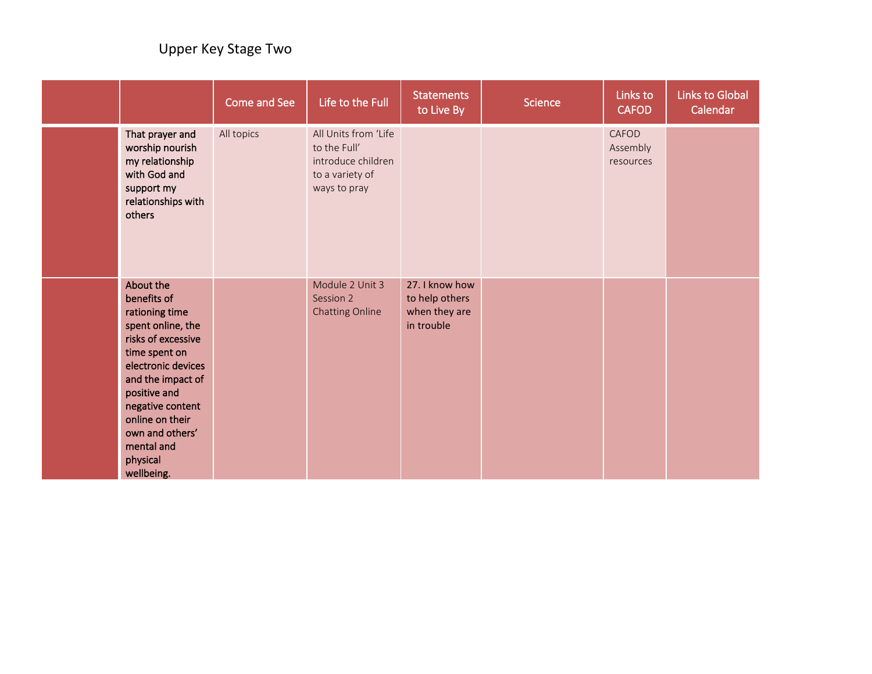|                                                                                                                                                                                                                                                                     | Come and See | Life to the Full                                                                              | <b>Statements</b><br>to Live By                                 | <b>Science</b> | Links to<br><b>CAFOD</b>       | <b>Links to Global</b><br>Calendar |
|---------------------------------------------------------------------------------------------------------------------------------------------------------------------------------------------------------------------------------------------------------------------|--------------|-----------------------------------------------------------------------------------------------|-----------------------------------------------------------------|----------------|--------------------------------|------------------------------------|
| That prayer and<br>worship nourish<br>my relationship<br>with God and<br>support my<br>relationships with<br>others                                                                                                                                                 | All topics   | All Units from 'Life<br>to the Full'<br>introduce children<br>to a variety of<br>ways to pray |                                                                 |                | CAFOD<br>Assembly<br>resources |                                    |
| About the<br>benefits of<br>rationing time<br>spent online, the<br>risks of excessive<br>time spent on<br>electronic devices<br>and the impact of<br>positive and<br>negative content<br>online on their<br>own and others'<br>mental and<br>physical<br>wellbeing. |              | Module 2 Unit 3<br>Session 2<br>Chatting Online                                               | 27. I know how<br>to help others<br>when they are<br>in trouble |                |                                |                                    |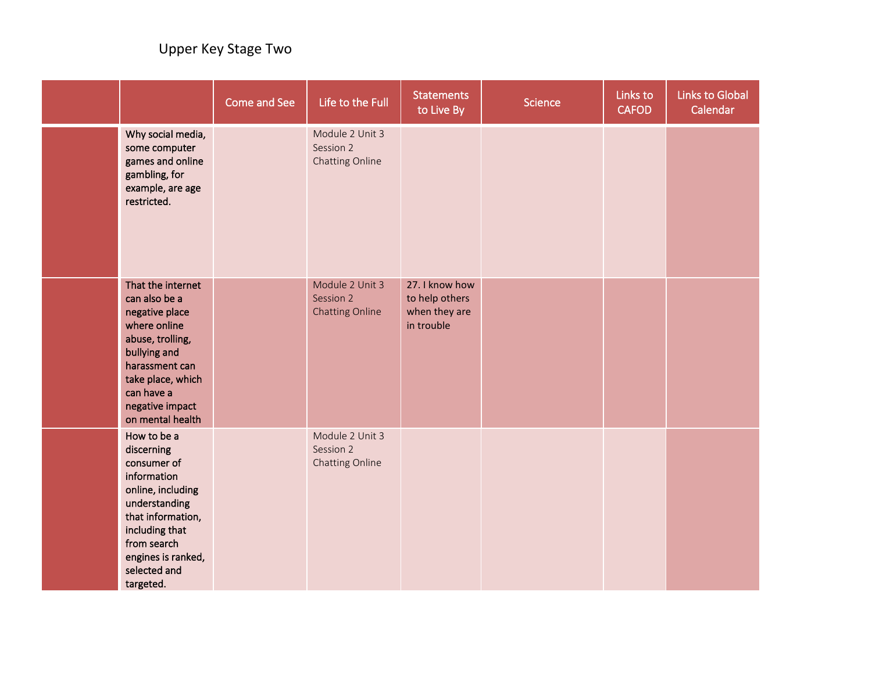|                                                                                                                                                                                                        | Come and See | Life to the Full                                       | <b>Statements</b><br>to Live By                                 | <b>Science</b> | Links to<br><b>CAFOD</b> | <b>Links to Global</b><br>Calendar |
|--------------------------------------------------------------------------------------------------------------------------------------------------------------------------------------------------------|--------------|--------------------------------------------------------|-----------------------------------------------------------------|----------------|--------------------------|------------------------------------|
| Why social media,<br>some computer<br>games and online<br>gambling, for<br>example, are age<br>restricted.                                                                                             |              | Module 2 Unit 3<br>Session 2<br>Chatting Online        |                                                                 |                |                          |                                    |
| That the internet<br>can also be a<br>negative place<br>where online<br>abuse, trolling,<br>bullying and<br>harassment can<br>take place, which<br>can have a<br>negative impact<br>on mental health   |              | Module 2 Unit 3<br>Session 2<br><b>Chatting Online</b> | 27. I know how<br>to help others<br>when they are<br>in trouble |                |                          |                                    |
| How to be a<br>discerning<br>consumer of<br>information<br>online, including<br>understanding<br>that information,<br>including that<br>from search<br>engines is ranked,<br>selected and<br>targeted. |              | Module 2 Unit 3<br>Session 2<br>Chatting Online        |                                                                 |                |                          |                                    |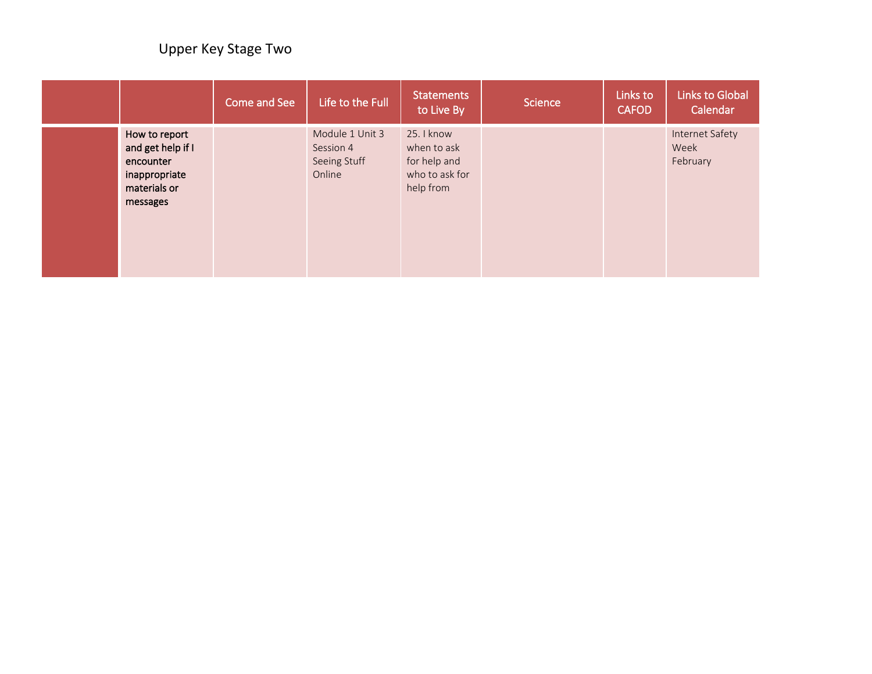|                                                                                              | Come and See | Life to the Full                                       | <b>Statements</b><br>to Live By                                          | <b>Science</b> | Links to<br><b>CAFOD</b> | <b>Links to Global</b><br>Calendar  |
|----------------------------------------------------------------------------------------------|--------------|--------------------------------------------------------|--------------------------------------------------------------------------|----------------|--------------------------|-------------------------------------|
| How to report<br>and get help if I<br>encounter<br>inappropriate<br>materials or<br>messages |              | Module 1 Unit 3<br>Session 4<br>Seeing Stuff<br>Online | 25. I know<br>when to ask<br>for help and<br>who to ask for<br>help from |                |                          | Internet Safety<br>Week<br>February |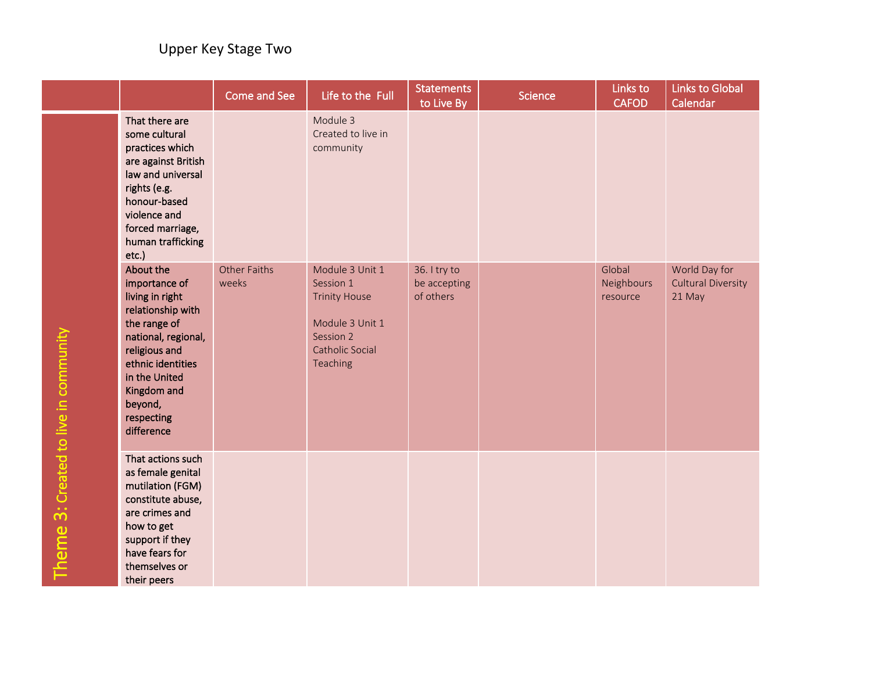|                                       |                                                                                                                                                                                                                        | <b>Come and See</b>          | Life to the Full                                                                                                           | <b>Statements</b><br>to Live By           | Science | Links to<br><b>CAFOD</b>         | <b>Links to Global</b><br>Calendar                   |
|---------------------------------------|------------------------------------------------------------------------------------------------------------------------------------------------------------------------------------------------------------------------|------------------------------|----------------------------------------------------------------------------------------------------------------------------|-------------------------------------------|---------|----------------------------------|------------------------------------------------------|
|                                       | That there are<br>some cultural<br>practices which<br>are against British<br>law and universal<br>rights (e.g.<br>honour-based<br>violence and<br>forced marriage,<br>human trafficking<br>etc.)                       |                              | Module 3<br>Created to live in<br>community                                                                                |                                           |         |                                  |                                                      |
| Theme 3: Created to live in community | About the<br>importance of<br>living in right<br>relationship with<br>the range of<br>national, regional,<br>religious and<br>ethnic identities<br>in the United<br>Kingdom and<br>beyond,<br>respecting<br>difference | <b>Other Faiths</b><br>weeks | Module 3 Unit 1<br>Session 1<br><b>Trinity House</b><br>Module 3 Unit 1<br>Session 2<br><b>Catholic Social</b><br>Teaching | 36. I try to<br>be accepting<br>of others |         | Global<br>Neighbours<br>resource | World Day for<br><b>Cultural Diversity</b><br>21 May |
|                                       | That actions such<br>as female genital<br>mutilation (FGM)<br>constitute abuse,<br>are crimes and<br>how to get<br>support if they<br>have fears for<br>themselves or<br>their peers                                   |                              |                                                                                                                            |                                           |         |                                  |                                                      |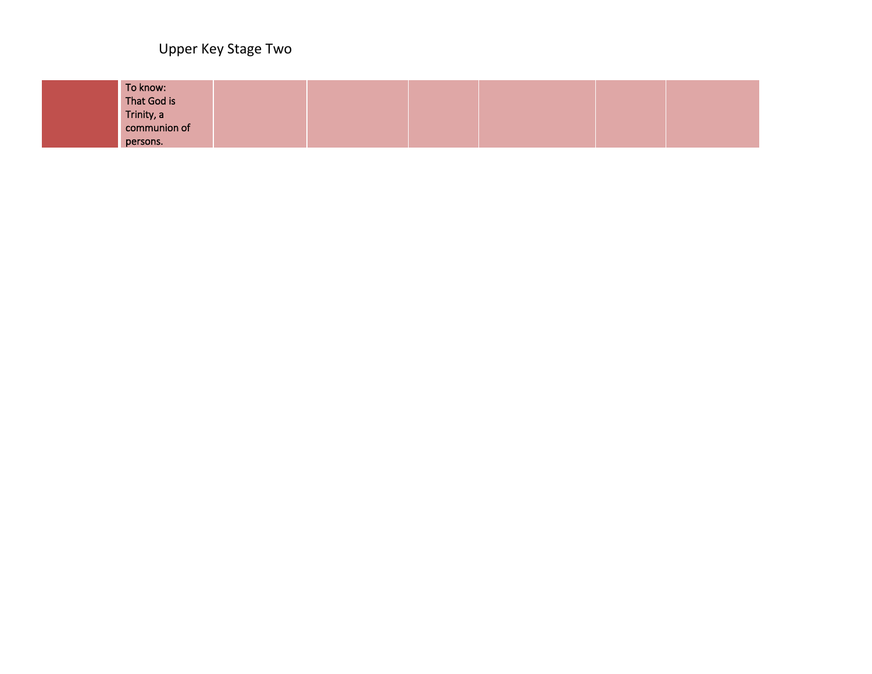Upper Key Stage Two

| To know:<br>That God is  |  |  |  |
|--------------------------|--|--|--|
| Trinity, a               |  |  |  |
| communion of<br>persons. |  |  |  |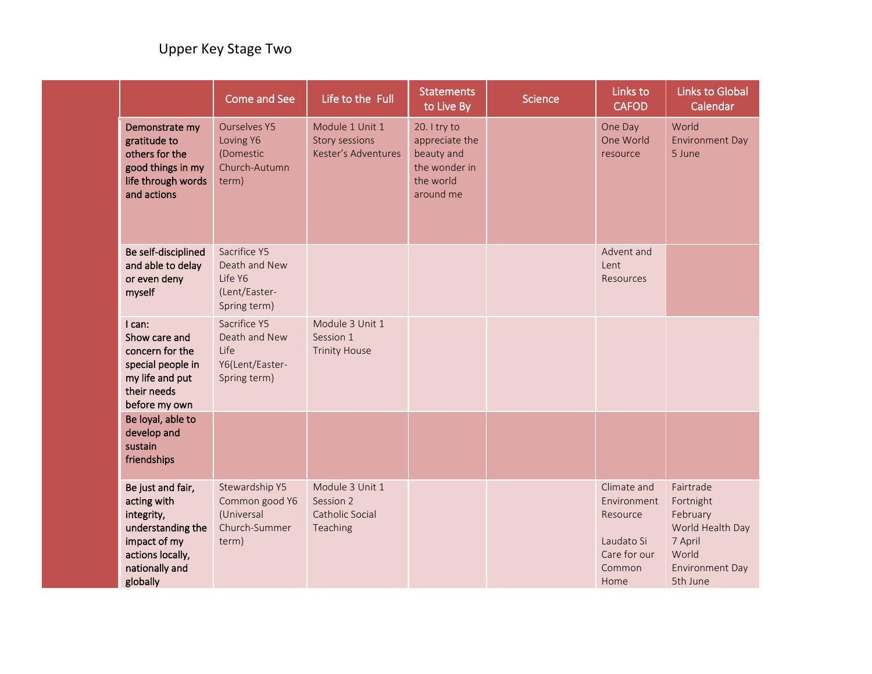|                                                                                                                                       | <b>Come and See</b>                                                       | Life to the Full                                            | <b>Statements</b><br>to Live By                                                         | <b>Science</b> | Links to<br><b>CAFOD</b>                                                               | <b>Links to Global</b><br>Calendar                                                                               |
|---------------------------------------------------------------------------------------------------------------------------------------|---------------------------------------------------------------------------|-------------------------------------------------------------|-----------------------------------------------------------------------------------------|----------------|----------------------------------------------------------------------------------------|------------------------------------------------------------------------------------------------------------------|
| Demonstrate my<br>gratitude to<br>others for the<br>good things in my<br>life through words<br>and actions                            | <b>Ourselves Y5</b><br>Loving Y6<br>(Domestic<br>Church-Autumn<br>term)   | Module 1 Unit 1<br>Story sessions<br>Kester's Adventures    | 20. I try to<br>appreciate the<br>beauty and<br>the wonder in<br>the world<br>around me |                | One Day<br>One World<br>resource                                                       | World<br><b>Environment Day</b><br>5 June                                                                        |
| Be self-disciplined<br>and able to delay<br>or even deny<br>myself                                                                    | Sacrifice Y5<br>Death and New<br>Life Y6<br>(Lent/Easter-<br>Spring term) |                                                             |                                                                                         |                | Advent and<br>Lent<br><b>Resources</b>                                                 |                                                                                                                  |
| I can:<br>Show care and<br>concern for the<br>special people in<br>my life and put<br>their needs<br>before my own                    | Sacrifice Y5<br>Death and New<br>Life<br>Y6(Lent/Easter-<br>Spring term)  | Module 3 Unit 1<br>Session 1<br><b>Trinity House</b>        |                                                                                         |                |                                                                                        |                                                                                                                  |
| Be loyal, able to<br>develop and<br>sustain<br>friendships                                                                            |                                                                           |                                                             |                                                                                         |                |                                                                                        |                                                                                                                  |
| Be just and fair,<br>acting with<br>integrity,<br>understanding the<br>impact of my<br>actions locally,<br>nationally and<br>globally | Stewardship Y5<br>Common good Y6<br>(Universal<br>Church-Summer<br>term)  | Module 3 Unit 1<br>Session 2<br>Catholic Social<br>Teaching |                                                                                         |                | Climate and<br>Environment<br>Resource<br>Laudato Si<br>Care for our<br>Common<br>Home | Fairtrade<br>Fortnight<br>February<br>World Health Day<br>7 April<br>World<br><b>Environment Day</b><br>5th June |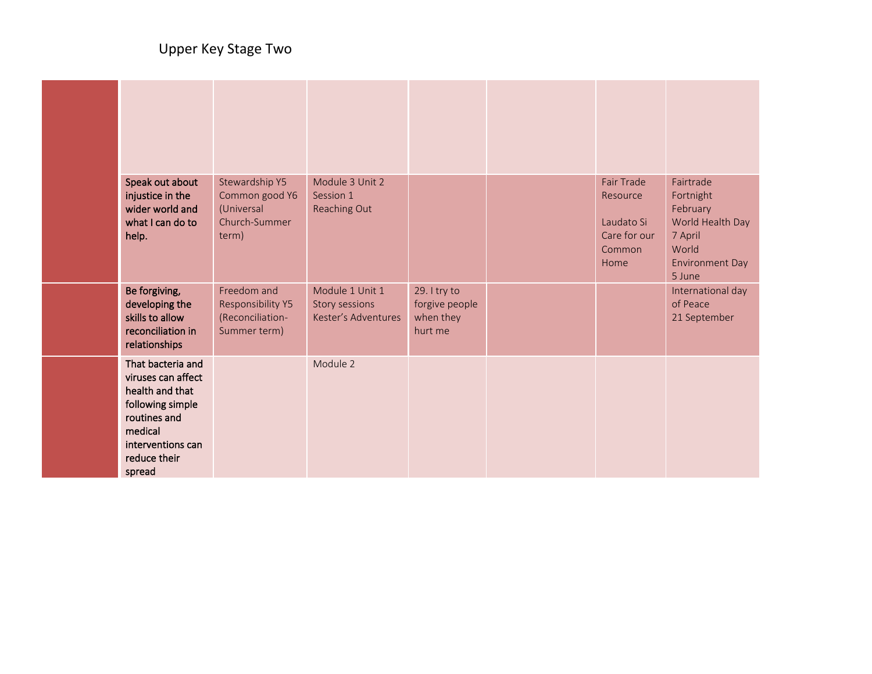| Speak out about<br>injustice in the<br>wider world and<br>what I can do to<br>help.                                                                      | Stewardship Y5<br>Common good Y6<br>(Universal<br>Church-Summer<br>term) | Module 3 Unit 2<br>Session 1<br>Reaching Out             |                                                        | Fair Trade<br>Resource<br>Laudato Si<br>Care for our<br>Common<br>Home | Fairtrade<br>Fortnight<br>February<br>World Health Day<br>7 April<br>World<br><b>Environment Day</b><br>5 June |
|----------------------------------------------------------------------------------------------------------------------------------------------------------|--------------------------------------------------------------------------|----------------------------------------------------------|--------------------------------------------------------|------------------------------------------------------------------------|----------------------------------------------------------------------------------------------------------------|
| Be forgiving,<br>developing the<br>skills to allow<br>reconciliation in<br>relationships                                                                 | Freedom and<br>Responsibility Y5<br>(Reconciliation-<br>Summer term)     | Module 1 Unit 1<br>Story sessions<br>Kester's Adventures | 29. I try to<br>forgive people<br>when they<br>hurt me |                                                                        | International day<br>of Peace<br>21 September                                                                  |
| That bacteria and<br>viruses can affect<br>health and that<br>following simple<br>routines and<br>medical<br>interventions can<br>reduce their<br>spread |                                                                          | Module 2                                                 |                                                        |                                                                        |                                                                                                                |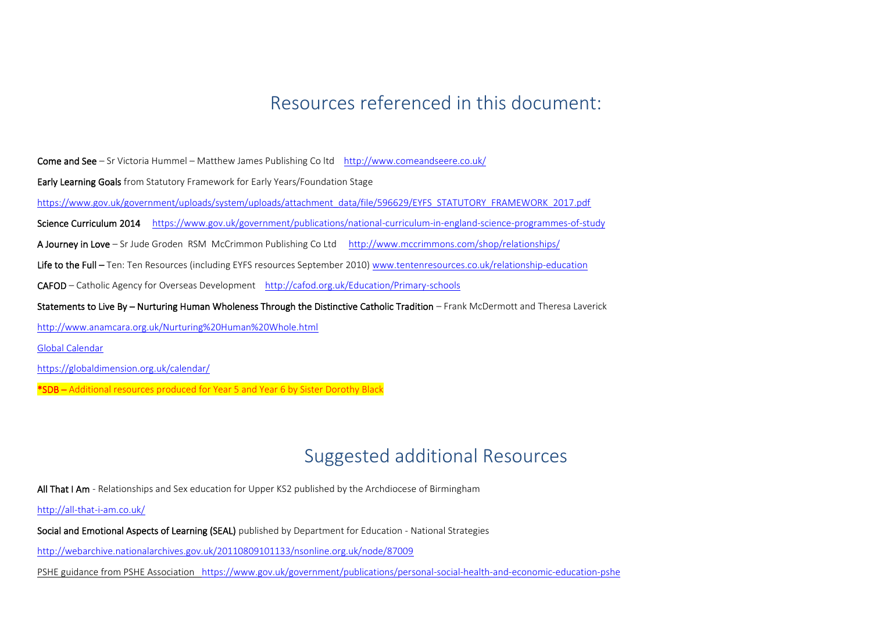# Resources referenced in this document:

Come and See – Sr Victoria Hummel – Matthew James Publishing Co ltd <http://www.comeandseere.co.uk/>

Early Learning Goals from Statutory Framework for Early Years/Foundation Stage

[https://www.gov.uk/government/uploads/system/uploads/attachment\\_data/file/596629/EYFS\\_STATUTORY\\_FRAMEWORK\\_2017.pdf](https://www.gov.uk/government/uploads/system/uploads/attachment_data/file/596629/EYFS_STATUTORY_FRAMEWORK_2017.pdf)

Science Curriculum 2014 <https://www.gov.uk/government/publications/national-curriculum-in-england-science-programmes-of-study>

A Journey in Love – Sr Jude Groden RSM McCrimmon Publishing Co Ltd <http://www.mccrimmons.com/shop/relationships/>

Life to the Full – Ten: Ten Resources (including EYFS resources September 2010) www.tentenresources.co.uk/relationship-education

CAFOD – Catholic Agency for Overseas Development <http://cafod.org.uk/Education/Primary-schools>

Statements to Live By – Nurturing Human Wholeness Through the Distinctive Catholic Tradition – Frank McDermott and Theresa Laverick

<http://www.anamcara.org.uk/Nurturing%20Human%20Whole.html>

Global Calendar

<https://globaldimension.org.uk/calendar/>

\*SDB – Additional resources produced for Year 5 and Year 6 by Sister Dorothy Black

# Suggested additional Resources

All That I Am - Relationships and Sex education for Upper KS2 published by the Archdiocese of Birmingham

<http://all-that-i-am.co.uk/>

Social and Emotional Aspects of Learning (SEAL) published by Department for Education - National Strategies

<http://webarchive.nationalarchives.gov.uk/20110809101133/nsonline.org.uk/node/87009>

PSHE guidance from PSHE Association [https://www.gov.uk/government/publications/personal-social-health-and-economic-education-pshe](file://///dc3/Diocese/Education/Schools/Relationship%20and%20Sex%20Education/Draft%20updated%20%20docs/ph)